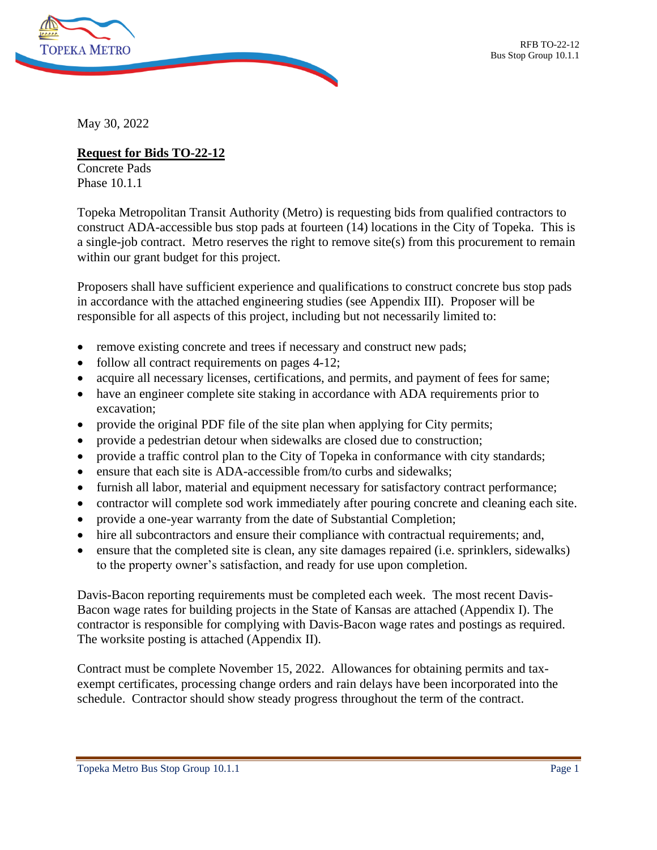

May 30, 2022

**Request for Bids TO-22-12** Concrete Pads

Phase 10.1.1

Topeka Metropolitan Transit Authority (Metro) is requesting bids from qualified contractors to construct ADA-accessible bus stop pads at fourteen (14) locations in the City of Topeka. This is a single-job contract. Metro reserves the right to remove site(s) from this procurement to remain within our grant budget for this project.

Proposers shall have sufficient experience and qualifications to construct concrete bus stop pads in accordance with the attached engineering studies (see Appendix III). Proposer will be responsible for all aspects of this project, including but not necessarily limited to:

- remove existing concrete and trees if necessary and construct new pads;
- follow all contract requirements on pages 4-12;
- acquire all necessary licenses, certifications, and permits, and payment of fees for same;
- have an engineer complete site staking in accordance with ADA requirements prior to excavation;
- provide the original PDF file of the site plan when applying for City permits;
- provide a pedestrian detour when sidewalks are closed due to construction;
- provide a traffic control plan to the City of Topeka in conformance with city standards;
- ensure that each site is ADA-accessible from/to curbs and sidewalks;
- furnish all labor, material and equipment necessary for satisfactory contract performance;
- contractor will complete sod work immediately after pouring concrete and cleaning each site.
- provide a one-year warranty from the date of Substantial Completion;
- hire all subcontractors and ensure their compliance with contractual requirements; and,
- ensure that the completed site is clean, any site damages repaired (i.e. sprinklers, sidewalks) to the property owner's satisfaction, and ready for use upon completion.

Davis-Bacon reporting requirements must be completed each week. The most recent Davis-Bacon wage rates for building projects in the State of Kansas are attached (Appendix I). The contractor is responsible for complying with Davis-Bacon wage rates and postings as required. The worksite posting is attached (Appendix II).

Contract must be complete November 15, 2022. Allowances for obtaining permits and taxexempt certificates, processing change orders and rain delays have been incorporated into the schedule. Contractor should show steady progress throughout the term of the contract.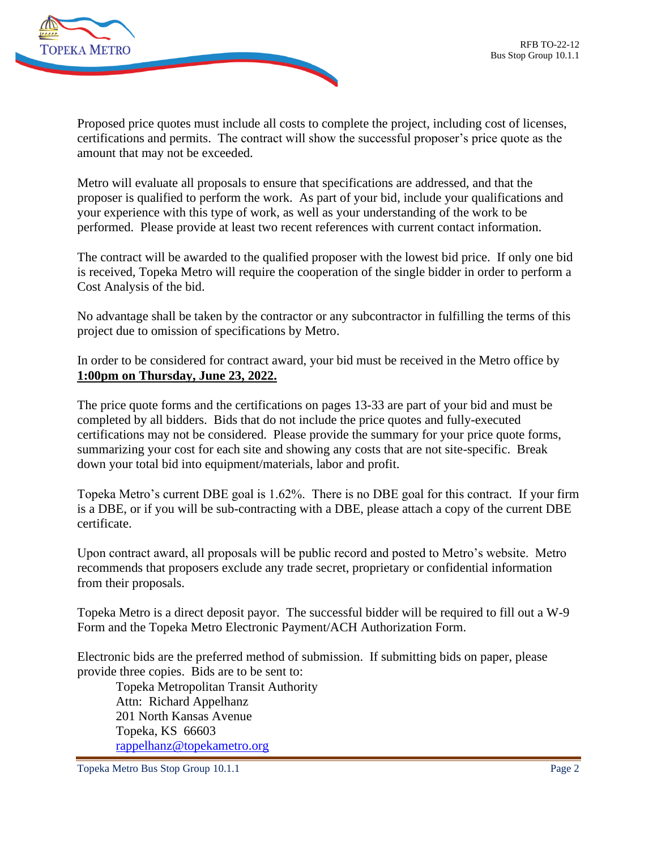

Proposed price quotes must include all costs to complete the project, including cost of licenses, certifications and permits. The contract will show the successful proposer's price quote as the amount that may not be exceeded.

Metro will evaluate all proposals to ensure that specifications are addressed, and that the proposer is qualified to perform the work. As part of your bid, include your qualifications and your experience with this type of work, as well as your understanding of the work to be performed. Please provide at least two recent references with current contact information.

The contract will be awarded to the qualified proposer with the lowest bid price. If only one bid is received, Topeka Metro will require the cooperation of the single bidder in order to perform a Cost Analysis of the bid.

No advantage shall be taken by the contractor or any subcontractor in fulfilling the terms of this project due to omission of specifications by Metro.

In order to be considered for contract award, your bid must be received in the Metro office by **1:00pm on Thursday, June 23, 2022.**

The price quote forms and the certifications on pages 13-33 are part of your bid and must be completed by all bidders. Bids that do not include the price quotes and fully-executed certifications may not be considered. Please provide the summary for your price quote forms, summarizing your cost for each site and showing any costs that are not site-specific. Break down your total bid into equipment/materials, labor and profit.

Topeka Metro's current DBE goal is 1.62%. There is no DBE goal for this contract. If your firm is a DBE, or if you will be sub-contracting with a DBE, please attach a copy of the current DBE certificate.

Upon contract award, all proposals will be public record and posted to Metro's website. Metro recommends that proposers exclude any trade secret, proprietary or confidential information from their proposals.

Topeka Metro is a direct deposit payor. The successful bidder will be required to fill out a W-9 Form and the Topeka Metro Electronic Payment/ACH Authorization Form.

Electronic bids are the preferred method of submission. If submitting bids on paper, please provide three copies. Bids are to be sent to:

Topeka Metropolitan Transit Authority Attn: Richard Appelhanz 201 North Kansas Avenue Topeka, KS 66603 [rappelhanz@topekametro.org](mailto:krichardson@topekametro.org)

Topeka Metro Bus Stop Group 10.1.1 Page 2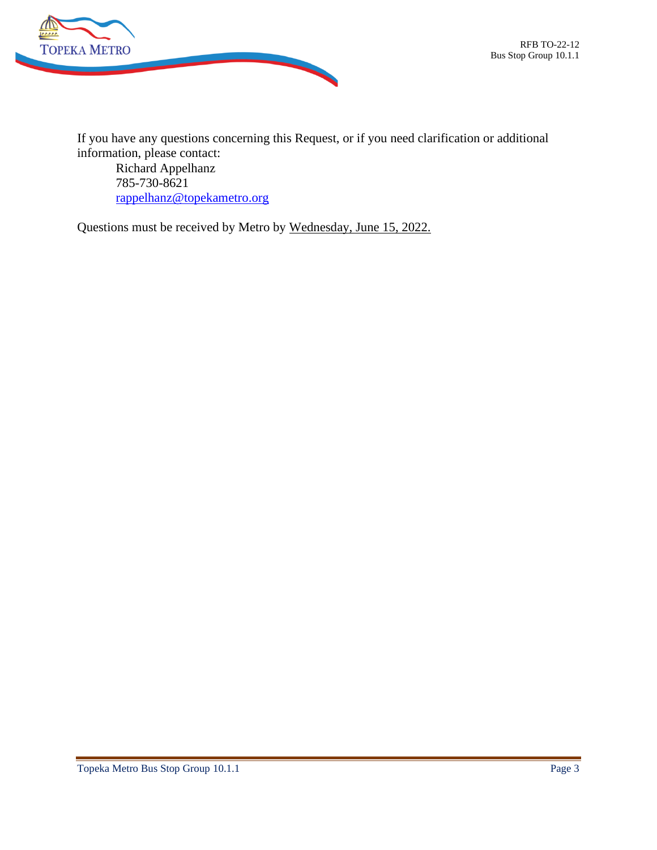

If you have any questions concerning this Request, or if you need clarification or additional information, please contact: Richard Appelhanz 785-730-8621 [rappelhanz@topekametro.org](mailto:rappelhanz@topekametro.org)

Questions must be received by Metro by Wednesday, June 15, 2022.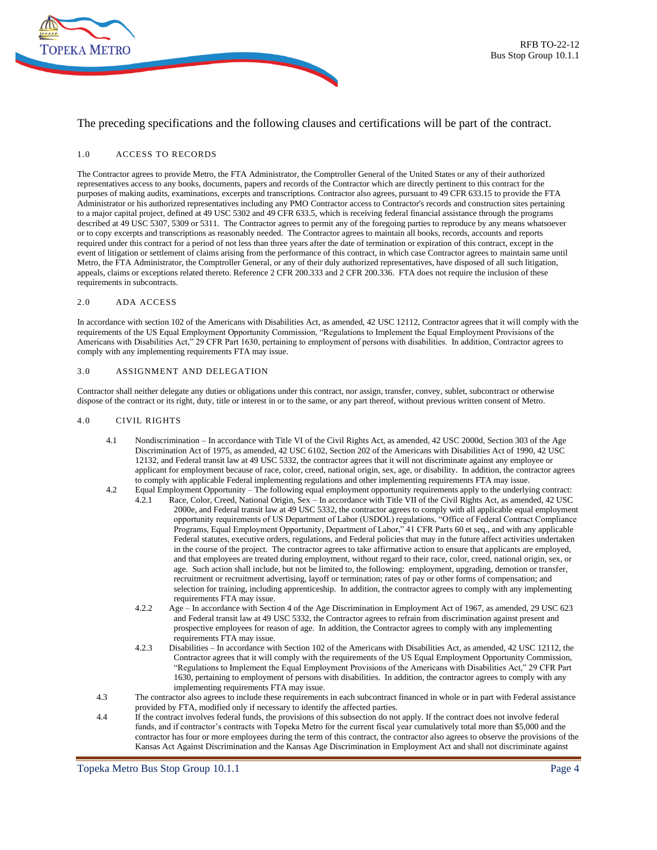

### The preceding specifications and the following clauses and certifications will be part of the contract.

### 1.0 ACCESS TO RECORDS

The Contractor agrees to provide Metro, the FTA Administrator, the Comptroller General of the United States or any of their authorized representatives access to any books, documents, papers and records of the Contractor which are directly pertinent to this contract for the purposes of making audits, examinations, excerpts and transcriptions. Contractor also agrees, pursuant to 49 CFR 633.15 to provide the FTA Administrator or his authorized representatives including any PMO Contractor access to Contractor's records and construction sites pertaining to a major capital project, defined at 49 USC 5302 and 49 CFR 633.5, which is receiving federal financial assistance through the programs described at 49 USC 5307, 5309 or 5311. The Contractor agrees to permit any of the foregoing parties to reproduce by any means whatsoever or to copy excerpts and transcriptions as reasonably needed. The Contractor agrees to maintain all books, records, accounts and reports required under this contract for a period of not less than three years after the date of termination or expiration of this contract, except in the event of litigation or settlement of claims arising from the performance of this contract, in which case Contractor agrees to maintain same until Metro, the FTA Administrator, the Comptroller General, or any of their duly authorized representatives, have disposed of all such litigation, appeals, claims or exceptions related thereto. Reference 2 CFR 200.333 and 2 CFR 200.336. FTA does not require the inclusion of these requirements in subcontracts.

### 2.0 ADA ACCESS

In accordance with section 102 of the Americans with Disabilities Act, as amended, 42 USC 12112, Contractor agrees that it will comply with the requirements of the US Equal Employment Opportunity Commission, "Regulations to Implement the Equal Employment Provisions of the Americans with Disabilities Act," 29 CFR Part 1630, pertaining to employment of persons with disabilities. In addition, Contractor agrees to comply with any implementing requirements FTA may issue.

### 3.0 ASSIGNMENT AND DELEGATION

Contractor shall neither delegate any duties or obligations under this contract, nor assign, transfer, convey, sublet, subcontract or otherwise dispose of the contract or its right, duty, title or interest in or to the same, or any part thereof, without previous written consent of Metro.

### 4.0 CIVIL RIGHTS

- 4.1 Nondiscrimination In accordance with Title VI of the Civil Rights Act, as amended, 42 USC 2000d, Section 303 of the Age Discrimination Act of 1975, as amended, 42 USC 6102, Section 202 of the Americans with Disabilities Act of 1990, 42 USC 12132, and Federal transit law at 49 USC 5332, the contractor agrees that it will not discriminate against any employee or applicant for employment because of race, color, creed, national origin, sex, age, or disability. In addition, the contractor agrees to comply with applicable Federal implementing regulations and other implementing requirements FTA may issue. 4.2 Equal Employment Opportunity – The following equal employment opportunity requirements apply to the underlying contract:
	- 4.2.1 Race, Color, Creed, National Origin, Sex In accordance with Title VII of the Civil Rights Act, as amended, 42 USC 2000e, and Federal transit law at 49 USC 5332, the contractor agrees to comply with all applicable equal employment opportunity requirements of US Department of Labor (USDOL) regulations, "Office of Federal Contract Compliance Programs, Equal Employment Opportunity, Department of Labor," 41 CFR Parts 60 et seq., and with any applicable Federal statutes, executive orders, regulations, and Federal policies that may in the future affect activities undertaken in the course of the project. The contractor agrees to take affirmative action to ensure that applicants are employed, and that employees are treated during employment, without regard to their race, color, creed, national origin, sex, or age. Such action shall include, but not be limited to, the following: employment, upgrading, demotion or transfer, recruitment or recruitment advertising, layoff or termination; rates of pay or other forms of compensation; and selection for training, including apprenticeship. In addition, the contractor agrees to comply with any implementing requirements FTA may issue.
		- 4.2.2 Age In accordance with Section 4 of the Age Discrimination in Employment Act of 1967, as amended, 29 USC 623 and Federal transit law at 49 USC 5332, the Contractor agrees to refrain from discrimination against present and prospective employees for reason of age. In addition, the Contractor agrees to comply with any implementing requirements FTA may issue.
		- 4.2.3 Disabilities In accordance with Section 102 of the Americans with Disabilities Act, as amended, 42 USC 12112, the Contractor agrees that it will comply with the requirements of the US Equal Employment Opportunity Commission, "Regulations to Implement the Equal Employment Provisions of the Americans with Disabilities Act," 29 CFR Part 1630, pertaining to employment of persons with disabilities. In addition, the contractor agrees to comply with any implementing requirements FTA may issue.
- 4.3 The contractor also agrees to include these requirements in each subcontract financed in whole or in part with Federal assistance provided by FTA, modified only if necessary to identify the affected parties.
- 4.4 If the contract involves federal funds, the provisions of this subsection do not apply. If the contract does not involve federal funds, and if contractor's contracts with Topeka Metro for the current fiscal year cumulatively total more than \$5,000 and the contractor has four or more employees during the term of this contract, the contractor also agrees to observe the provisions of the Kansas Act Against Discrimination and the Kansas Age Discrimination in Employment Act and shall not discriminate against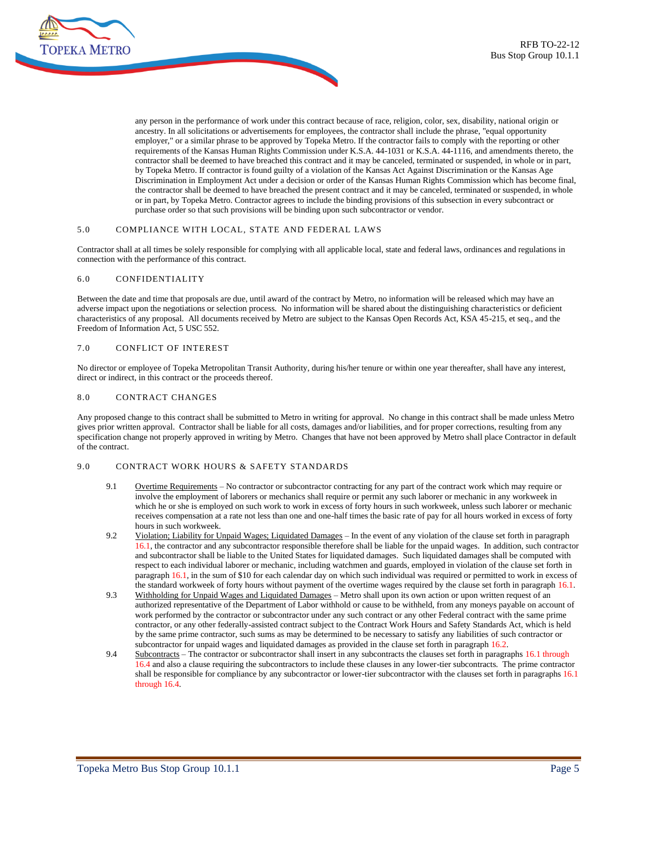

any person in the performance of work under this contract because of race, religion, color, sex, disability, national origin or ancestry. In all solicitations or advertisements for employees, the contractor shall include the phrase, "equal opportunity employer," or a similar phrase to be approved by Topeka Metro. If the contractor fails to comply with the reporting or other requirements of the Kansas Human Rights Commission under K.S.A. 44-1031 or K.S.A. 44-1116, and amendments thereto, the contractor shall be deemed to have breached this contract and it may be canceled, terminated or suspended, in whole or in part, by Topeka Metro. If contractor is found guilty of a violation of the Kansas Act Against Discrimination or the Kansas Age Discrimination in Employment Act under a decision or order of the Kansas Human Rights Commission which has become final, the contractor shall be deemed to have breached the present contract and it may be canceled, terminated or suspended, in whole or in part, by Topeka Metro. Contractor agrees to include the binding provisions of this subsection in every subcontract or purchase order so that such provisions will be binding upon such subcontractor or vendor.

### 5.0 COMPLIANCE WITH LOCAL, STATE AND FEDERAL LAWS

Contractor shall at all times be solely responsible for complying with all applicable local, state and federal laws, ordinances and regulations in connection with the performance of this contract.

### 6.0 CONFIDENTIALITY

Between the date and time that proposals are due, until award of the contract by Metro, no information will be released which may have an adverse impact upon the negotiations or selection process. No information will be shared about the distinguishing characteristics or deficient characteristics of any proposal. All documents received by Metro are subject to the Kansas Open Records Act, KSA 45-215, et seq., and the Freedom of Information Act, 5 USC 552.

### 7.0 CONFLICT OF INTEREST

No director or employee of Topeka Metropolitan Transit Authority, during his/her tenure or within one year thereafter, shall have any interest, direct or indirect, in this contract or the proceeds thereof.

#### 8.0 CONTRACT CHANGES

Any proposed change to this contract shall be submitted to Metro in writing for approval. No change in this contract shall be made unless Metro gives prior written approval. Contractor shall be liable for all costs, damages and/or liabilities, and for proper corrections, resulting from any specification change not properly approved in writing by Metro. Changes that have not been approved by Metro shall place Contractor in default of the contract.

### 9.0 CONTRACT WORK HOURS & SAFETY STANDARDS

- 9.1 Overtime Requirements No contractor or subcontractor contracting for any part of the contract work which may require or involve the employment of laborers or mechanics shall require or permit any such laborer or mechanic in any workweek in which he or she is employed on such work to work in excess of forty hours in such workweek, unless such laborer or mechanic receives compensation at a rate not less than one and one-half times the basic rate of pay for all hours worked in excess of forty hours in such workweek.
- 9.2 Violation; Liability for Unpaid Wages; Liquidated Damages In the event of any violation of the clause set forth in paragraph 16.1, the contractor and any subcontractor responsible therefore shall be liable for the unpaid wages. In addition, such contractor and subcontractor shall be liable to the United States for liquidated damages. Such liquidated damages shall be computed with respect to each individual laborer or mechanic, including watchmen and guards, employed in violation of the clause set forth in paragraph 16.1, in the sum of \$10 for each calendar day on which such individual was required or permitted to work in excess of the standard workweek of forty hours without payment of the overtime wages required by the clause set forth in paragraph 16.1.
- 9.3 Withholding for Unpaid Wages and Liquidated Damages Metro shall upon its own action or upon written request of an authorized representative of the Department of Labor withhold or cause to be withheld, from any moneys payable on account of work performed by the contractor or subcontractor under any such contract or any other Federal contract with the same prime contractor, or any other federally-assisted contract subject to the Contract Work Hours and Safety Standards Act, which is held by the same prime contractor, such sums as may be determined to be necessary to satisfy any liabilities of such contractor or subcontractor for unpaid wages and liquidated damages as provided in the clause set forth in paragraph 16.2.
- 9.4 Subcontracts The contractor or subcontractor shall insert in any subcontracts the clauses set forth in paragraphs 16.1 through 16.4 and also a clause requiring the subcontractors to include these clauses in any lower-tier subcontracts. The prime contractor shall be responsible for compliance by any subcontractor or lower-tier subcontractor with the clauses set forth in paragraphs 16.1 through 16.4.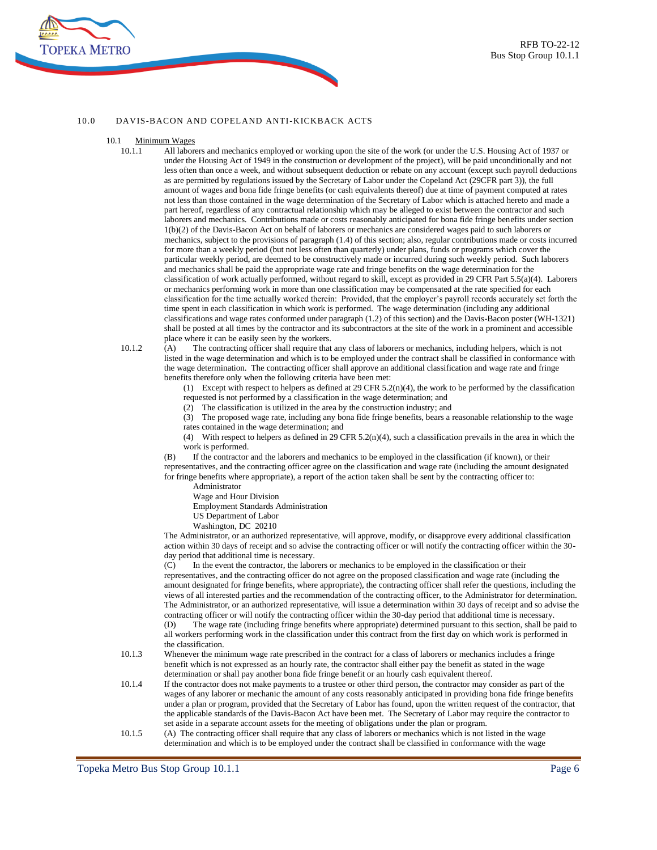

#### 10.0 DAVIS-BACON AND COPELAND ANTI-KICKBACK ACTS

#### 10.1 Minimum Wages

- 10.1.1 All laborers and mechanics employed or working upon the site of the work (or under the U.S. Housing Act of 1937 or under the Housing Act of 1949 in the construction or development of the project), will be paid unconditionally and not less often than once a week, and without subsequent deduction or rebate on any account (except such payroll deductions as are permitted by regulations issued by the Secretary of Labor under the Copeland Act (29CFR part 3)), the full amount of wages and bona fide fringe benefits (or cash equivalents thereof) due at time of payment computed at rates not less than those contained in the wage determination of the Secretary of Labor which is attached hereto and made a part hereof, regardless of any contractual relationship which may be alleged to exist between the contractor and such laborers and mechanics. Contributions made or costs reasonably anticipated for bona fide fringe benefits under section 1(b)(2) of the Davis-Bacon Act on behalf of laborers or mechanics are considered wages paid to such laborers or mechanics, subject to the provisions of paragraph (1.4) of this section; also, regular contributions made or costs incurred for more than a weekly period (but not less often than quarterly) under plans, funds or programs which cover the particular weekly period, are deemed to be constructively made or incurred during such weekly period. Such laborers and mechanics shall be paid the appropriate wage rate and fringe benefits on the wage determination for the classification of work actually performed, without regard to skill, except as provided in 29 CFR Part 5.5(a)(4). Laborers or mechanics performing work in more than one classification may be compensated at the rate specified for each classification for the time actually worked therein: Provided, that the employer's payroll records accurately set forth the time spent in each classification in which work is performed. The wage determination (including any additional classifications and wage rates conformed under paragraph (1.2) of this section) and the Davis-Bacon poster (WH-1321) shall be posted at all times by the contractor and its subcontractors at the site of the work in a prominent and accessible place where it can be easily seen by the workers.
- 10.1.2 (A) The contracting officer shall require that any class of laborers or mechanics, including helpers, which is not listed in the wage determination and which is to be employed under the contract shall be classified in conformance with the wage determination. The contracting officer shall approve an additional classification and wage rate and fringe benefits therefore only when the following criteria have been met:
	- (1) Except with respect to helpers as defined at 29 CFR 5.2(n)(4), the work to be performed by the classification requested is not performed by a classification in the wage determination; and
	- (2) The classification is utilized in the area by the construction industry; and
	- (3) The proposed wage rate, including any bona fide fringe benefits, bears a reasonable relationship to the wage rates contained in the wage determination; and

(4) With respect to helpers as defined in 29 CFR 5.2(n)(4), such a classification prevails in the area in which the work is performed.

(B) If the contractor and the laborers and mechanics to be employed in the classification (if known), or their representatives, and the contracting officer agree on the classification and wage rate (including the amount designated for fringe benefits where appropriate), a report of the action taken shall be sent by the contracting officer to:

Administrator

Wage and Hour Division

Employment Standards Administration

- US Department of Labor
- Washington, DC 20210

The Administrator, or an authorized representative, will approve, modify, or disapprove every additional classification action within 30 days of receipt and so advise the contracting officer or will notify the contracting officer within the 30 day period that additional time is necessary.

(C) In the event the contractor, the laborers or mechanics to be employed in the classification or their representatives, and the contracting officer do not agree on the proposed classification and wage rate (including the amount designated for fringe benefits, where appropriate), the contracting officer shall refer the questions, including the views of all interested parties and the recommendation of the contracting officer, to the Administrator for determination. The Administrator, or an authorized representative, will issue a determination within 30 days of receipt and so advise the contracting officer or will notify the contracting officer within the 30-day period that additional time is necessary.

(D) The wage rate (including fringe benefits where appropriate) determined pursuant to this section, shall be paid to all workers performing work in the classification under this contract from the first day on which work is performed in the classification.

- 10.1.3 Whenever the minimum wage rate prescribed in the contract for a class of laborers or mechanics includes a fringe benefit which is not expressed as an hourly rate, the contractor shall either pay the benefit as stated in the wage determination or shall pay another bona fide fringe benefit or an hourly cash equivalent thereof.
- 10.1.4 If the contractor does not make payments to a trustee or other third person, the contractor may consider as part of the wages of any laborer or mechanic the amount of any costs reasonably anticipated in providing bona fide fringe benefits under a plan or program, provided that the Secretary of Labor has found, upon the written request of the contractor, that the applicable standards of the Davis-Bacon Act have been met. The Secretary of Labor may require the contractor to set aside in a separate account assets for the meeting of obligations under the plan or program.
- 10.1.5 (A) The contracting officer shall require that any class of laborers or mechanics which is not listed in the wage determination and which is to be employed under the contract shall be classified in conformance with the wage

Topeka Metro Bus Stop Group 10.1.1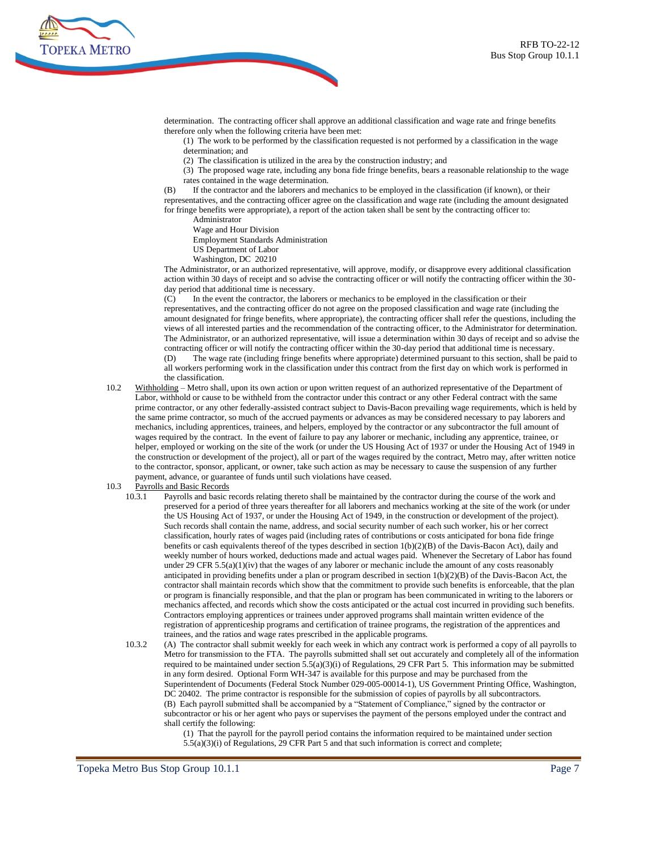

determination. The contracting officer shall approve an additional classification and wage rate and fringe benefits therefore only when the following criteria have been met:

(1) The work to be performed by the classification requested is not performed by a classification in the wage determination; and

(2) The classification is utilized in the area by the construction industry; and

(3) The proposed wage rate, including any bona fide fringe benefits, bears a reasonable relationship to the wage rates contained in the wage determination.

(B) If the contractor and the laborers and mechanics to be employed in the classification (if known), or their representatives, and the contracting officer agree on the classification and wage rate (including the amount designated for fringe benefits were appropriate), a report of the action taken shall be sent by the contracting officer to:

Administrator

Wage and Hour Division

Employment Standards Administration

US Department of Labor

Washington, DC 20210

The Administrator, or an authorized representative, will approve, modify, or disapprove every additional classification action within 30 days of receipt and so advise the contracting officer or will notify the contracting officer within the 30 day period that additional time is necessary.

(C) In the event the contractor, the laborers or mechanics to be employed in the classification or their representatives, and the contracting officer do not agree on the proposed classification and wage rate (including the amount designated for fringe benefits, where appropriate), the contracting officer shall refer the questions, including the views of all interested parties and the recommendation of the contracting officer, to the Administrator for determination. The Administrator, or an authorized representative, will issue a determination within 30 days of receipt and so advise the contracting officer or will notify the contracting officer within the 30-day period that additional time is necessary.

(D) The wage rate (including fringe benefits where appropriate) determined pursuant to this section, shall be paid to all workers performing work in the classification under this contract from the first day on which work is performed in the classification.

- 10.2 Withholding Metro shall, upon its own action or upon written request of an authorized representative of the Department of Labor, withhold or cause to be withheld from the contractor under this contract or any other Federal contract with the same prime contractor, or any other federally-assisted contract subject to Davis-Bacon prevailing wage requirements, which is held by the same prime contractor, so much of the accrued payments or advances as may be considered necessary to pay laborers and mechanics, including apprentices, trainees, and helpers, employed by the contractor or any subcontractor the full amount of wages required by the contract. In the event of failure to pay any laborer or mechanic, including any apprentice, trainee, or helper, employed or working on the site of the work (or under the US Housing Act of 1937 or under the Housing Act of 1949 in the construction or development of the project), all or part of the wages required by the contract, Metro may, after written notice to the contractor, sponsor, applicant, or owner, take such action as may be necessary to cause the suspension of any further payment, advance, or guarantee of funds until such violations have ceased.
- 10.3 Payrolls and Basic Records<br>10.3.1 Payrolls and basic
	- Payrolls and basic records relating thereto shall be maintained by the contractor during the course of the work and preserved for a period of three years thereafter for all laborers and mechanics working at the site of the work (or under the US Housing Act of 1937, or under the Housing Act of 1949, in the construction or development of the project). Such records shall contain the name, address, and social security number of each such worker, his or her correct classification, hourly rates of wages paid (including rates of contributions or costs anticipated for bona fide fringe benefits or cash equivalents thereof of the types described in section 1(b)(2)(B) of the Davis-Bacon Act), daily and weekly number of hours worked, deductions made and actual wages paid. Whenever the Secretary of Labor has found under 29 CFR 5.5(a)(1)(iv) that the wages of any laborer or mechanic include the amount of any costs reasonably anticipated in providing benefits under a plan or program described in section  $1(b)(2)(B)$  of the Davis-Bacon Act, the contractor shall maintain records which show that the commitment to provide such benefits is enforceable, that the plan or program is financially responsible, and that the plan or program has been communicated in writing to the laborers or mechanics affected, and records which show the costs anticipated or the actual cost incurred in providing such benefits. Contractors employing apprentices or trainees under approved programs shall maintain written evidence of the registration of apprenticeship programs and certification of trainee programs, the registration of the apprentices and trainees, and the ratios and wage rates prescribed in the applicable programs.
	- 10.3.2 (A) The contractor shall submit weekly for each week in which any contract work is performed a copy of all payrolls to Metro for transmission to the FTA. The payrolls submitted shall set out accurately and completely all of the information required to be maintained under section  $5.5(a)(3)(i)$  of Regulations, 29 CFR Part 5. This information may be submitted in any form desired. Optional Form WH-347 is available for this purpose and may be purchased from the Superintendent of Documents (Federal Stock Number 029-005-00014-1), US Government Printing Office, Washington, DC 20402. The prime contractor is responsible for the submission of copies of payrolls by all subcontractors. (B) Each payroll submitted shall be accompanied by a "Statement of Compliance," signed by the contractor or subcontractor or his or her agent who pays or supervises the payment of the persons employed under the contract and shall certify the following:

(1) That the payroll for the payroll period contains the information required to be maintained under section 5.5(a)(3)(i) of Regulations, 29 CFR Part 5 and that such information is correct and complete;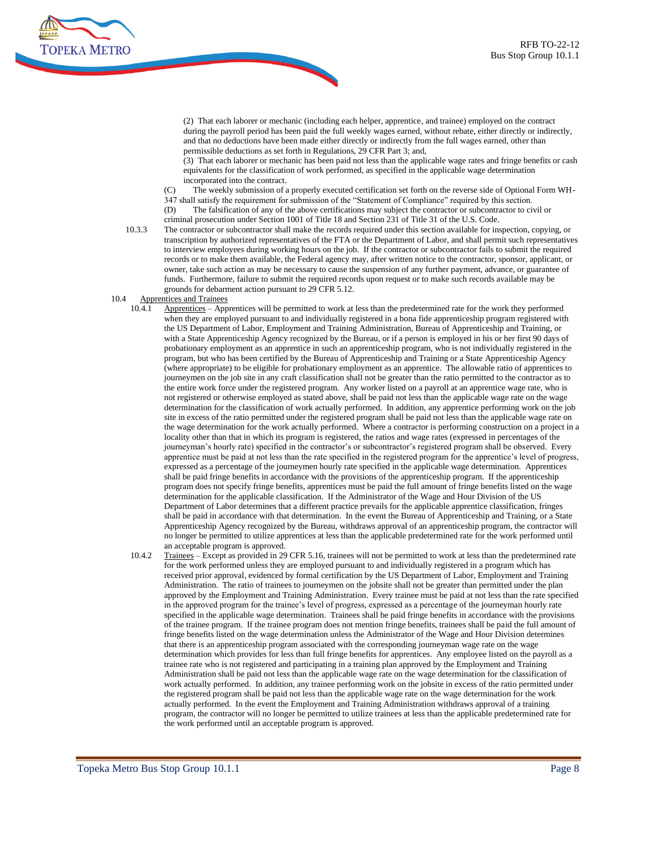

(2) That each laborer or mechanic (including each helper, apprentice, and trainee) employed on the contract during the payroll period has been paid the full weekly wages earned, without rebate, either directly or indirectly, and that no deductions have been made either directly or indirectly from the full wages earned, other than permissible deductions as set forth in Regulations, 29 CFR Part 3; and,

(3) That each laborer or mechanic has been paid not less than the applicable wage rates and fringe benefits or cash equivalents for the classification of work performed, as specified in the applicable wage determination incorporated into the contract.

(C) The weekly submission of a properly executed certification set forth on the reverse side of Optional Form WH-347 shall satisfy the requirement for submission of the "Statement of Compliance" required by this section.

(D) The falsification of any of the above certifications may subject the contractor or subcontractor to civil or criminal prosecution under Section 1001 of Title 18 and Section 231 of Title 31 of the U.S. Code.

10.3.3 The contractor or subcontractor shall make the records required under this section available for inspection, copying, or transcription by authorized representatives of the FTA or the Department of Labor, and shall permit such representatives to interview employees during working hours on the job. If the contractor or subcontractor fails to submit the required records or to make them available, the Federal agency may, after written notice to the contractor, sponsor, applicant, or owner, take such action as may be necessary to cause the suspension of any further payment, advance, or guarantee of funds. Furthermore, failure to submit the required records upon request or to make such records available may be grounds for debarment action pursuant to 29 CFR 5.12.

10.4 Apprentices and Trainees<br>10.4.1 Apprentices – App

10.4.1 Apprentices – Apprentices will be permitted to work at less than the predetermined rate for the work they performed when they are employed pursuant to and individually registered in a bona fide apprenticeship program registered with the US Department of Labor, Employment and Training Administration, Bureau of Apprenticeship and Training, or with a State Apprenticeship Agency recognized by the Bureau, or if a person is employed in his or her first 90 days of probationary employment as an apprentice in such an apprenticeship program, who is not individually registered in the program, but who has been certified by the Bureau of Apprenticeship and Training or a State Apprenticeship Agency (where appropriate) to be eligible for probationary employment as an apprentice. The allowable ratio of apprentices to journeymen on the job site in any craft classification shall not be greater than the ratio permitted to the contractor as to the entire work force under the registered program. Any worker listed on a payroll at an apprentice wage rate, who is not registered or otherwise employed as stated above, shall be paid not less than the applicable wage rate on the wage determination for the classification of work actually performed. In addition, any apprentice performing work on the job site in excess of the ratio permitted under the registered program shall be paid not less than the applicable wage rate on the wage determination for the work actually performed. Where a contractor is performing construction on a project in a locality other than that in which its program is registered, the ratios and wage rates (expressed in percentages of the journeyman's hourly rate) specified in the contractor's or subcontractor's registered program shall be observed. Every apprentice must be paid at not less than the rate specified in the registered program for the apprentice's level of progress, expressed as a percentage of the journeymen hourly rate specified in the applicable wage determination. Apprentices shall be paid fringe benefits in accordance with the provisions of the apprenticeship program. If the apprenticeship program does not specify fringe benefits, apprentices must be paid the full amount of fringe benefits listed on the wage determination for the applicable classification. If the Administrator of the Wage and Hour Division of the US Department of Labor determines that a different practice prevails for the applicable apprentice classification, fringes shall be paid in accordance with that determination. In the event the Bureau of Apprenticeship and Training, or a State Apprenticeship Agency recognized by the Bureau, withdraws approval of an apprenticeship program, the contractor will no longer be permitted to utilize apprentices at less than the applicable predetermined rate for the work performed until an acceptable program is approved.

10.4.2 Trainees – Except as provided in 29 CFR 5.16, trainees will not be permitted to work at less than the predetermined rate for the work performed unless they are employed pursuant to and individually registered in a program which has received prior approval, evidenced by formal certification by the US Department of Labor, Employment and Training Administration. The ratio of trainees to journeymen on the jobsite shall not be greater than permitted under the plan approved by the Employment and Training Administration. Every trainee must be paid at not less than the rate specified in the approved program for the trainee's level of progress, expressed as a percentage of the journeyman hourly rate specified in the applicable wage determination. Trainees shall be paid fringe benefits in accordance with the provisions of the trainee program. If the trainee program does not mention fringe benefits, trainees shall be paid the full amount of fringe benefits listed on the wage determination unless the Administrator of the Wage and Hour Division determines that there is an apprenticeship program associated with the corresponding journeyman wage rate on the wage determination which provides for less than full fringe benefits for apprentices. Any employee listed on the payroll as a trainee rate who is not registered and participating in a training plan approved by the Employment and Training Administration shall be paid not less than the applicable wage rate on the wage determination for the classification of work actually performed. In addition, any trainee performing work on the jobsite in excess of the ratio permitted under the registered program shall be paid not less than the applicable wage rate on the wage determination for the work actually performed. In the event the Employment and Training Administration withdraws approval of a training program, the contractor will no longer be permitted to utilize trainees at less than the applicable predetermined rate for the work performed until an acceptable program is approved.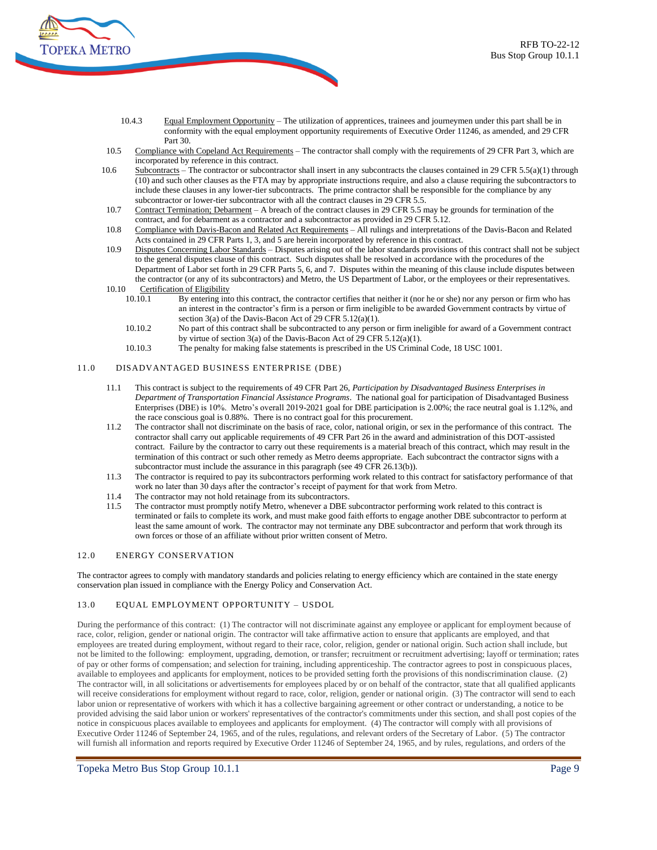

- 10.4.3 Equal Employment Opportunity The utilization of apprentices, trainees and journeymen under this part shall be in conformity with the equal employment opportunity requirements of Executive Order 11246, as amended, and 29 CFR Part 30
- 10.5 Compliance with Copeland Act Requirements The contractor shall comply with the requirements of 29 CFR Part 3, which are incorporated by reference in this contract.
- 10.6 Subcontracts The contractor or subcontractor shall insert in any subcontracts the clauses contained in 29 CFR 5.5(a)(1) through (10) and such other clauses as the FTA may by appropriate instructions require, and also a clause requiring the subcontractors to include these clauses in any lower-tier subcontracts. The prime contractor shall be responsible for the compliance by any subcontractor or lower-tier subcontractor with all the contract clauses in 29 CFR 5.5.
- 10.7 Contract Termination; Debarment A breach of the contract clauses in 29 CFR 5.5 may be grounds for termination of the contract, and for debarment as a contractor and a subcontractor as provided in 29 CFR 5.12.
- 10.8 Compliance with Davis-Bacon and Related Act Requirements All rulings and interpretations of the Davis-Bacon and Related Acts contained in 29 CFR Parts 1, 3, and 5 are herein incorporated by reference in this contract.
- 10.9 Disputes Concerning Labor Standards Disputes arising out of the labor standards provisions of this contract shall not be subject to the general disputes clause of this contract. Such disputes shall be resolved in accordance with the procedures of the Department of Labor set forth in 29 CFR Parts 5, 6, and 7. Disputes within the meaning of this clause include disputes between the contractor (or any of its subcontractors) and Metro, the US Department of Labor, or the employees or their representatives. 10.10 Certification of Eligibility
	- 10.10.1 By entering into this contract, the contractor certifies that neither it (nor he or she) nor any person or firm who has an interest in the contractor's firm is a person or firm ineligible to be awarded Government contracts by virtue of section 3(a) of the Davis-Bacon Act of 29 CFR 5.12(a)(1).
	- 10.10.2 No part of this contract shall be subcontracted to any person or firm ineligible for award of a Government contract by virtue of section 3(a) of the Davis-Bacon Act of 29 CFR 5.12(a)(1).
	- 10.10.3 The penalty for making false statements is prescribed in the US Criminal Code, 18 USC 1001.

### 11.0 DISADVANTAGED BUSINESS ENTERPRISE (DBE)

- 11.1 This contract is subject to the requirements of 49 CFR Part 26, *Participation by Disadvantaged Business Enterprises in Department of Transportation Financial Assistance Programs*. The national goal for participation of Disadvantaged Business Enterprises (DBE) is 10%. Metro's overall 2019-2021 goal for DBE participation is 2.00%; the race neutral goal is 1.12%, and the race conscious goal is 0.88%. There is no contract goal for this procurement.
- 11.2 The contractor shall not discriminate on the basis of race, color, national origin, or sex in the performance of this contract. The contractor shall carry out applicable requirements of 49 CFR Part 26 in the award and administration of this DOT-assisted contract. Failure by the contractor to carry out these requirements is a material breach of this contract, which may result in the termination of this contract or such other remedy as Metro deems appropriate. Each subcontract the contractor signs with a subcontractor must include the assurance in this paragraph (see 49 CFR 26.13(b)).
- 11.3 The contractor is required to pay its subcontractors performing work related to this contract for satisfactory performance of that work no later than 30 days after the contractor's receipt of payment for that work from Metro.
- 11.4 The contractor may not hold retainage from its subcontractors.
- 11.5 The contractor must promptly notify Metro, whenever a DBE subcontractor performing work related to this contract is terminated or fails to complete its work, and must make good faith efforts to engage another DBE subcontractor to perform at least the same amount of work. The contractor may not terminate any DBE subcontractor and perform that work through its own forces or those of an affiliate without prior written consent of Metro.

### 12.0 ENERGY CONSERVATION

The contractor agrees to comply with mandatory standards and policies relating to energy efficiency which are contained in the state energy conservation plan issued in compliance with the Energy Policy and Conservation Act.

### 13.0 EQUAL EMPLOYMENT OPPORTUNITY – USDOL

During the performance of this contract: (1) The contractor will not discriminate against any employee or applicant for employment because of race, color, religion, gender or national origin. The contractor will take affirmative action to ensure that applicants are employed, and that employees are treated during employment, without regard to their race, color, religion, gender or national origin. Such action shall include, but not be limited to the following: employment, upgrading, demotion, or transfer; recruitment or recruitment advertising; layoff or termination; rates of pay or other forms of compensation; and selection for training, including apprenticeship. The contractor agrees to post in conspicuous places, available to employees and applicants for employment, notices to be provided setting forth the provisions of this nondiscrimination clause. (2) The contractor will, in all solicitations or advertisements for employees placed by or on behalf of the contractor, state that all qualified applicants will receive considerations for employment without regard to race, color, religion, gender or national origin. (3) The contractor will send to each labor union or representative of workers with which it has a collective bargaining agreement or other contract or understanding, a notice to be provided advising the said labor union or workers' representatives of the contractor's commitments under this section, and shall post copies of the notice in conspicuous places available to employees and applicants for employment. (4) The contractor will comply with all provisions of Executive Order 11246 of September 24, 1965, and of the rules, regulations, and relevant orders of the Secretary of Labor. (5) The contractor will furnish all information and reports required by Executive Order 11246 of September 24, 1965, and by rules, regulations, and orders of the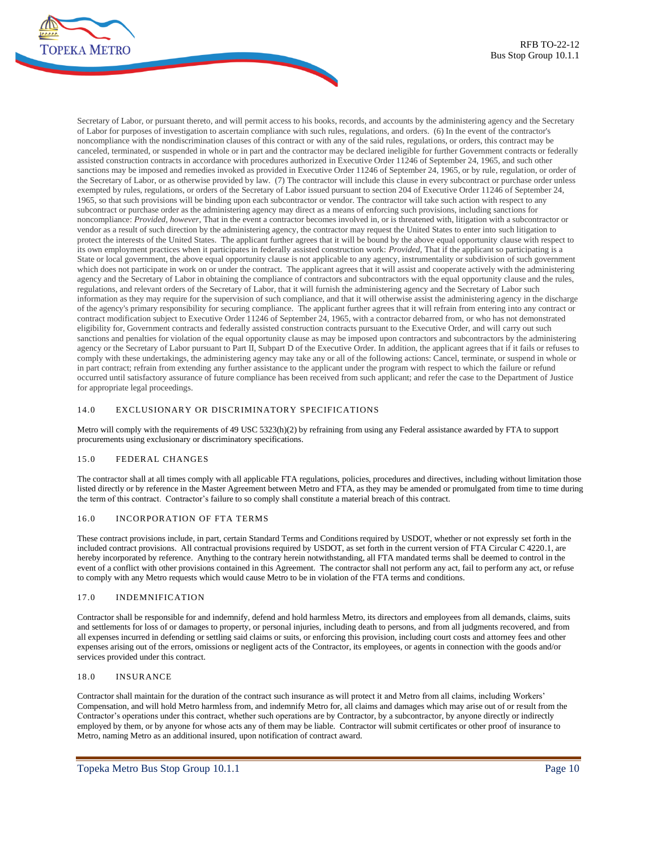

Secretary of Labor, or pursuant thereto, and will permit access to his books, records, and accounts by the administering agency and the Secretary of Labor for purposes of investigation to ascertain compliance with such rules, regulations, and orders. (6) In the event of the contractor's noncompliance with the nondiscrimination clauses of this contract or with any of the said rules, regulations, or orders, this contract may be canceled, terminated, or suspended in whole or in part and the contractor may be declared ineligible for further Government contracts or federally assisted construction contracts in accordance with procedures authorized in Executive Order 11246 of September 24, 1965, and such other sanctions may be imposed and remedies invoked as provided in Executive Order 11246 of September 24, 1965, or by rule, regulation, or order of the Secretary of Labor, or as otherwise provided by law. (7) The contractor will include this clause in every subcontract or purchase order unless exempted by rules, regulations, or orders of the Secretary of Labor issued pursuant to section 204 of Executive Order 11246 of September 24, 1965, so that such provisions will be binding upon each subcontractor or vendor. The contractor will take such action with respect to any subcontract or purchase order as the administering agency may direct as a means of enforcing such provisions, including sanctions for noncompliance: *Provided, however,* That in the event a contractor becomes involved in, or is threatened with, litigation with a subcontractor or vendor as a result of such direction by the administering agency, the contractor may request the United States to enter into such litigation to protect the interests of the United States. The applicant further agrees that it will be bound by the above equal opportunity clause with respect to its own employment practices when it participates in federally assisted construction work: *Provided,* That if the applicant so participating is a State or local government, the above equal opportunity clause is not applicable to any agency, instrumentality or subdivision of such government which does not participate in work on or under the contract. The applicant agrees that it will assist and cooperate actively with the administering agency and the Secretary of Labor in obtaining the compliance of contractors and subcontractors with the equal opportunity clause and the rules, regulations, and relevant orders of the Secretary of Labor, that it will furnish the administering agency and the Secretary of Labor such information as they may require for the supervision of such compliance, and that it will otherwise assist the administering agency in the discharge of the agency's primary responsibility for securing compliance. The applicant further agrees that it will refrain from entering into any contract or contract modification subject to Executive Order 11246 of September 24, 1965, with a contractor debarred from, or who has not demonstrated eligibility for, Government contracts and federally assisted construction contracts pursuant to the Executive Order, and will carry out such sanctions and penalties for violation of the equal opportunity clause as may be imposed upon contractors and subcontractors by the administering agency or the Secretary of Labor pursuant to Part II, Subpart D of the Executive Order. In addition, the applicant agrees that if it fails or refuses to comply with these undertakings, the administering agency may take any or all of the following actions: Cancel, terminate, or suspend in whole or in part contract; refrain from extending any further assistance to the applicant under the program with respect to which the failure or refund occurred until satisfactory assurance of future compliance has been received from such applicant; and refer the case to the Department of Justice for appropriate legal proceedings.

### 14.0 EXCLUSIONARY OR DISCRIMINATORY SPECIFICATIONS

Metro will comply with the requirements of 49 USC 5323(h)(2) by refraining from using any Federal assistance awarded by FTA to support procurements using exclusionary or discriminatory specifications.

### 15.0 FEDERAL CHANGES

The contractor shall at all times comply with all applicable FTA regulations, policies, procedures and directives, including without limitation those listed directly or by reference in the Master Agreement between Metro and FTA, as they may be amended or promulgated from time to time during the term of this contract. Contractor's failure to so comply shall constitute a material breach of this contract.

### 16.0 INCORPORATION OF FTA TERMS

These contract provisions include, in part, certain Standard Terms and Conditions required by USDOT, whether or not expressly set forth in the included contract provisions. All contractual provisions required by USDOT, as set forth in the current version of FTA Circular C 4220.1, are hereby incorporated by reference. Anything to the contrary herein notwithstanding, all FTA mandated terms shall be deemed to control in the event of a conflict with other provisions contained in this Agreement. The contractor shall not perform any act, fail to perform any act, or refuse to comply with any Metro requests which would cause Metro to be in violation of the FTA terms and conditions.

### 17.0 INDEMNIFICATION

Contractor shall be responsible for and indemnify, defend and hold harmless Metro, its directors and employees from all demands, claims, suits and settlements for loss of or damages to property, or personal injuries, including death to persons, and from all judgments recovered, and from all expenses incurred in defending or settling said claims or suits, or enforcing this provision, including court costs and attorney fees and other expenses arising out of the errors, omissions or negligent acts of the Contractor, its employees, or agents in connection with the goods and/or services provided under this contract.

### 18.0 INSURANCE

Contractor shall maintain for the duration of the contract such insurance as will protect it and Metro from all claims, including Workers' Compensation, and will hold Metro harmless from, and indemnify Metro for, all claims and damages which may arise out of or result from the Contractor's operations under this contract, whether such operations are by Contractor, by a subcontractor, by anyone directly or indirectly employed by them, or by anyone for whose acts any of them may be liable. Contractor will submit certificates or other proof of insurance to Metro, naming Metro as an additional insured, upon notification of contract award.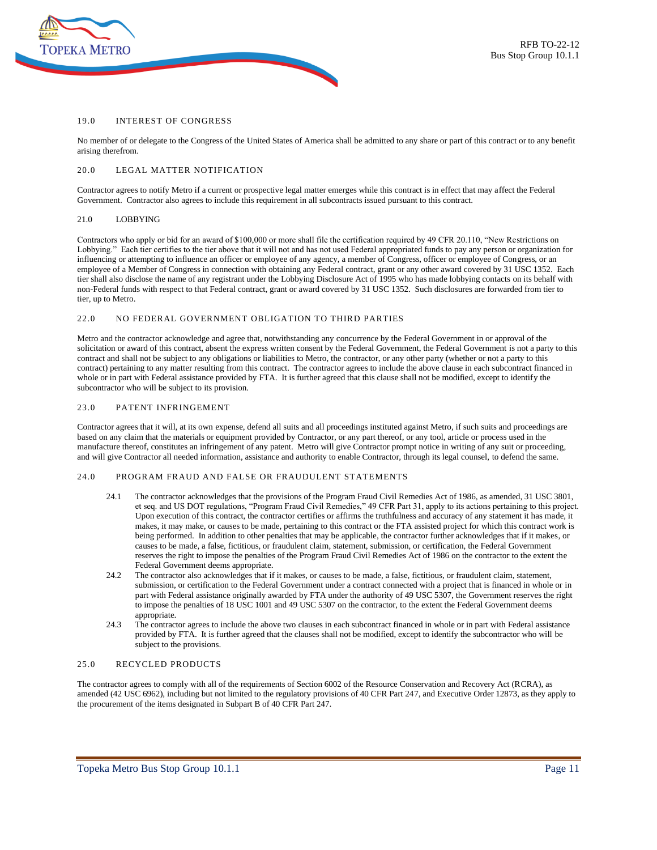

#### 19.0 INTEREST OF CONGRESS

No member of or delegate to the Congress of the United States of America shall be admitted to any share or part of this contract or to any benefit arising therefrom.

### 20.0 LEGAL MATTER NOTIFICATION

Contractor agrees to notify Metro if a current or prospective legal matter emerges while this contract is in effect that may affect the Federal Government. Contractor also agrees to include this requirement in all subcontracts issued pursuant to this contract.

### 21.0 LOBBYING

Contractors who apply or bid for an award of \$100,000 or more shall file the certification required by 49 CFR 20.110, "New Restrictions on Lobbying." Each tier certifies to the tier above that it will not and has not used Federal appropriated funds to pay any person or organization for influencing or attempting to influence an officer or employee of any agency, a member of Congress, officer or employee of Congress, or an employee of a Member of Congress in connection with obtaining any Federal contract, grant or any other award covered by 31 USC 1352. Each tier shall also disclose the name of any registrant under the Lobbying Disclosure Act of 1995 who has made lobbying contacts on its behalf with non-Federal funds with respect to that Federal contract, grant or award covered by 31 USC 1352. Such disclosures are forwarded from tier to tier, up to Metro.

### 22.0 NO FEDERAL GOVERNMENT OBLIGATION TO THIRD PARTIES

Metro and the contractor acknowledge and agree that, notwithstanding any concurrence by the Federal Government in or approval of the solicitation or award of this contract, absent the express written consent by the Federal Government, the Federal Government is not a party to this contract and shall not be subject to any obligations or liabilities to Metro, the contractor, or any other party (whether or not a party to this contract) pertaining to any matter resulting from this contract. The contractor agrees to include the above clause in each subcontract financed in whole or in part with Federal assistance provided by FTA. It is further agreed that this clause shall not be modified, except to identify the subcontractor who will be subject to its provision.

#### 23.0 PATENT INFRINGEMENT

Contractor agrees that it will, at its own expense, defend all suits and all proceedings instituted against Metro, if such suits and proceedings are based on any claim that the materials or equipment provided by Contractor, or any part thereof, or any tool, article or process used in the manufacture thereof, constitutes an infringement of any patent. Metro will give Contractor prompt notice in writing of any suit or proceeding, and will give Contractor all needed information, assistance and authority to enable Contractor, through its legal counsel, to defend the same.

### 24.0 PROGRAM FRAUD AND FALSE OR FRAUDULENT STATEMENTS

- 24.1 The contractor acknowledges that the provisions of the Program Fraud Civil Remedies Act of 1986, as amended, 31 USC 3801, et seq. and US DOT regulations, "Program Fraud Civil Remedies," 49 CFR Part 31, apply to its actions pertaining to this project. Upon execution of this contract, the contractor certifies or affirms the truthfulness and accuracy of any statement it has made, it makes, it may make, or causes to be made, pertaining to this contract or the FTA assisted project for which this contract work is being performed. In addition to other penalties that may be applicable, the contractor further acknowledges that if it makes, or causes to be made, a false, fictitious, or fraudulent claim, statement, submission, or certification, the Federal Government reserves the right to impose the penalties of the Program Fraud Civil Remedies Act of 1986 on the contractor to the extent the Federal Government deems appropriate.
- 24.2 The contractor also acknowledges that if it makes, or causes to be made, a false, fictitious, or fraudulent claim, statement, submission, or certification to the Federal Government under a contract connected with a project that is financed in whole or in part with Federal assistance originally awarded by FTA under the authority of 49 USC 5307, the Government reserves the right to impose the penalties of 18 USC 1001 and 49 USC 5307 on the contractor, to the extent the Federal Government deems appropriate.
- 24.3 The contractor agrees to include the above two clauses in each subcontract financed in whole or in part with Federal assistance provided by FTA. It is further agreed that the clauses shall not be modified, except to identify the subcontractor who will be subject to the provisions.

### 25.0 RECYCLED PRODUCTS

The contractor agrees to comply with all of the requirements of Section 6002 of the Resource Conservation and Recovery Act (RCRA), as amended (42 USC 6962), including but not limited to the regulatory provisions of 40 CFR Part 247, and Executive Order 12873, as they apply to the procurement of the items designated in Subpart B of 40 CFR Part 247.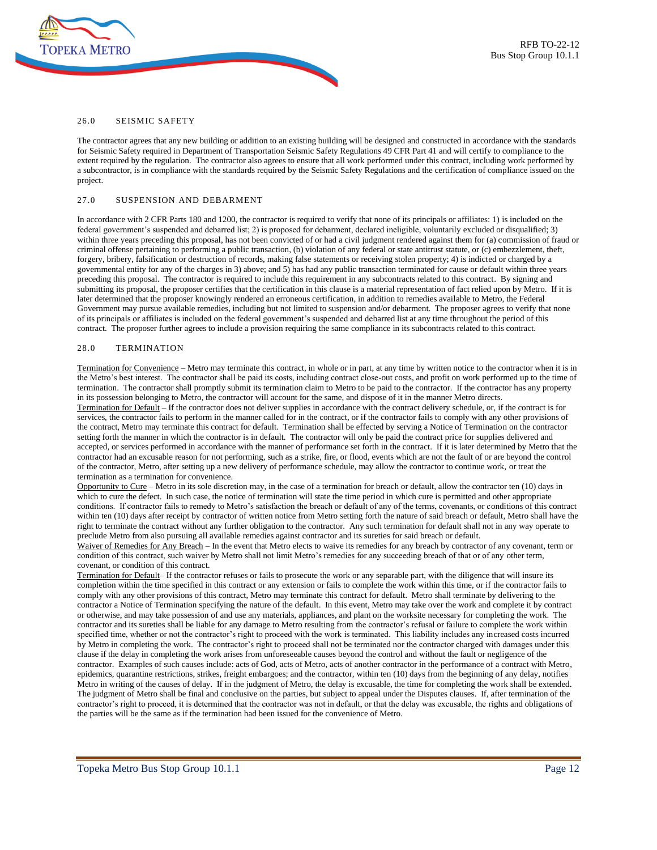

#### 26.0 SEISMIC SAFETY

The contractor agrees that any new building or addition to an existing building will be designed and constructed in accordance with the standards for Seismic Safety required in Department of Transportation Seismic Safety Regulations 49 CFR Part 41 and will certify to compliance to the extent required by the regulation. The contractor also agrees to ensure that all work performed under this contract, including work performed by a subcontractor, is in compliance with the standards required by the Seismic Safety Regulations and the certification of compliance issued on the project.

### 27.0 SUSPENSION AND DEBARMENT

In accordance with 2 CFR Parts 180 and 1200, the contractor is required to verify that none of its principals or affiliates: 1) is included on the federal government's suspended and debarred list; 2) is proposed for debarment, declared ineligible, voluntarily excluded or disqualified; 3) within three years preceding this proposal, has not been convicted of or had a civil judgment rendered against them for (a) commission of fraud or criminal offense pertaining to performing a public transaction, (b) violation of any federal or state antitrust statute, or (c) embezzlement, theft, forgery, bribery, falsification or destruction of records, making false statements or receiving stolen property; 4) is indicted or charged by a governmental entity for any of the charges in 3) above; and 5) has had any public transaction terminated for cause or default within three years preceding this proposal. The contractor is required to include this requirement in any subcontracts related to this contract. By signing and submitting its proposal, the proposer certifies that the certification in this clause is a material representation of fact relied upon by Metro. If it is later determined that the proposer knowingly rendered an erroneous certification, in addition to remedies available to Metro, the Federal Government may pursue available remedies, including but not limited to suspension and/or debarment. The proposer agrees to verify that none of its principals or affiliates is included on the federal government's suspended and debarred list at any time throughout the period of this contract. The proposer further agrees to include a provision requiring the same compliance in its subcontracts related to this contract.

#### 28.0 TERMINATION

Termination for Convenience – Metro may terminate this contract, in whole or in part, at any time by written notice to the contractor when it is in the Metro's best interest. The contractor shall be paid its costs, including contract close-out costs, and profit on work performed up to the time of termination. The contractor shall promptly submit its termination claim to Metro to be paid to the contractor. If the contractor has any property in its possession belonging to Metro, the contractor will account for the same, and dispose of it in the manner Metro directs.

Termination for Default – If the contractor does not deliver supplies in accordance with the contract delivery schedule, or, if the contract is for services, the contractor fails to perform in the manner called for in the contract, or if the contractor fails to comply with any other provisions of the contract, Metro may terminate this contract for default. Termination shall be effected by serving a Notice of Termination on the contractor setting forth the manner in which the contractor is in default. The contractor will only be paid the contract price for supplies delivered and accepted, or services performed in accordance with the manner of performance set forth in the contract. If it is later determined by Metro that the contractor had an excusable reason for not performing, such as a strike, fire, or flood, events which are not the fault of or are beyond the control of the contractor, Metro, after setting up a new delivery of performance schedule, may allow the contractor to continue work, or treat the termination as a termination for convenience.

Opportunity to Cure – Metro in its sole discretion may, in the case of a termination for breach or default, allow the contractor ten (10) days in which to cure the defect. In such case, the notice of termination will state the time period in which cure is permitted and other appropriate conditions. If contractor fails to remedy to Metro's satisfaction the breach or default of any of the terms, covenants, or conditions of this contract within ten (10) days after receipt by contractor of written notice from Metro setting forth the nature of said breach or default, Metro shall have the right to terminate the contract without any further obligation to the contractor. Any such termination for default shall not in any way operate to preclude Metro from also pursuing all available remedies against contractor and its sureties for said breach or default.

Waiver of Remedies for Any Breach – In the event that Metro elects to waive its remedies for any breach by contractor of any covenant, term or condition of this contract, such waiver by Metro shall not limit Metro's remedies for any succeeding breach of that or of any other term, covenant, or condition of this contract.

Termination for Default– If the contractor refuses or fails to prosecute the work or any separable part, with the diligence that will insure its completion within the time specified in this contract or any extension or fails to complete the work within this time, or if the contractor fails to comply with any other provisions of this contract, Metro may terminate this contract for default. Metro shall terminate by delivering to the contractor a Notice of Termination specifying the nature of the default. In this event, Metro may take over the work and complete it by contract or otherwise, and may take possession of and use any materials, appliances, and plant on the worksite necessary for completing the work. The contractor and its sureties shall be liable for any damage to Metro resulting from the contractor's refusal or failure to complete the work within specified time, whether or not the contractor's right to proceed with the work is terminated. This liability includes any increased costs incurred by Metro in completing the work. The contractor's right to proceed shall not be terminated nor the contractor charged with damages under this clause if the delay in completing the work arises from unforeseeable causes beyond the control and without the fault or negligence of the contractor. Examples of such causes include: acts of God, acts of Metro, acts of another contractor in the performance of a contract with Metro, epidemics, quarantine restrictions, strikes, freight embargoes; and the contractor, within ten (10) days from the beginning of any delay, notifies Metro in writing of the causes of delay. If in the judgment of Metro, the delay is excusable, the time for completing the work shall be extended. The judgment of Metro shall be final and conclusive on the parties, but subject to appeal under the Disputes clauses. If, after termination of the contractor's right to proceed, it is determined that the contractor was not in default, or that the delay was excusable, the rights and obligations of the parties will be the same as if the termination had been issued for the convenience of Metro.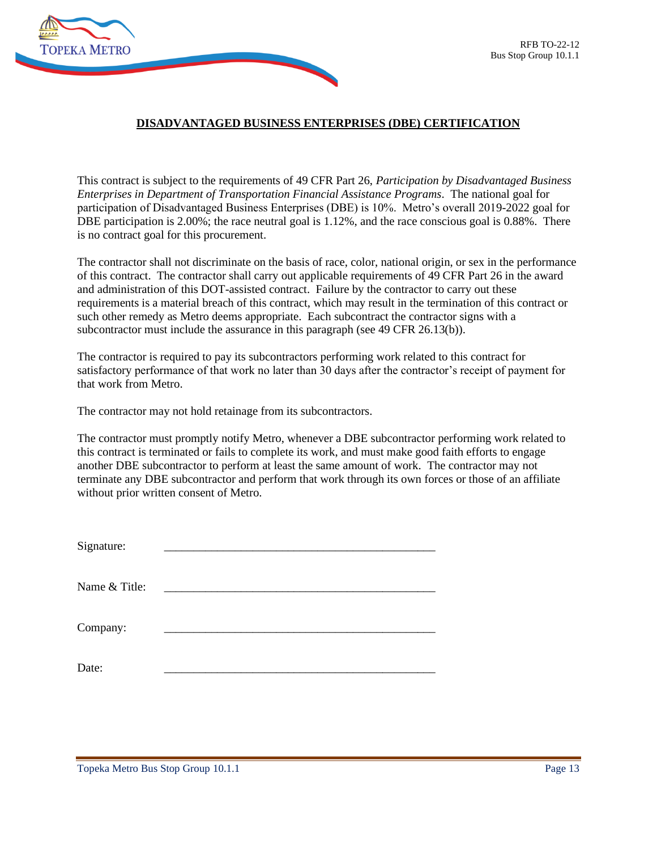

## **DISADVANTAGED BUSINESS ENTERPRISES (DBE) CERTIFICATION**

This contract is subject to the requirements of 49 CFR Part 26, *Participation by Disadvantaged Business Enterprises in Department of Transportation Financial Assistance Programs*. The national goal for participation of Disadvantaged Business Enterprises (DBE) is 10%. Metro's overall 2019-2022 goal for DBE participation is 2.00%; the race neutral goal is 1.12%, and the race conscious goal is 0.88%. There is no contract goal for this procurement.

The contractor shall not discriminate on the basis of race, color, national origin, or sex in the performance of this contract. The contractor shall carry out applicable requirements of 49 CFR Part 26 in the award and administration of this DOT-assisted contract. Failure by the contractor to carry out these requirements is a material breach of this contract, which may result in the termination of this contract or such other remedy as Metro deems appropriate. Each subcontract the contractor signs with a subcontractor must include the assurance in this paragraph (see 49 CFR 26.13(b)).

The contractor is required to pay its subcontractors performing work related to this contract for satisfactory performance of that work no later than 30 days after the contractor's receipt of payment for that work from Metro.

The contractor may not hold retainage from its subcontractors.

The contractor must promptly notify Metro, whenever a DBE subcontractor performing work related to this contract is terminated or fails to complete its work, and must make good faith efforts to engage another DBE subcontractor to perform at least the same amount of work. The contractor may not terminate any DBE subcontractor and perform that work through its own forces or those of an affiliate without prior written consent of Metro.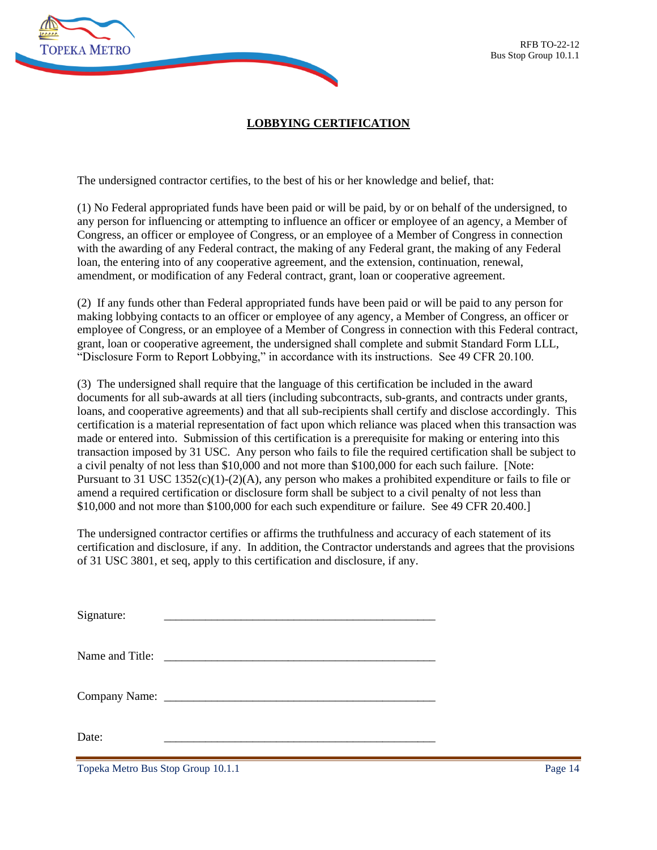

## **LOBBYING CERTIFICATION**

The undersigned contractor certifies, to the best of his or her knowledge and belief, that:

(1) No Federal appropriated funds have been paid or will be paid, by or on behalf of the undersigned, to any person for influencing or attempting to influence an officer or employee of an agency, a Member of Congress, an officer or employee of Congress, or an employee of a Member of Congress in connection with the awarding of any Federal contract, the making of any Federal grant, the making of any Federal loan, the entering into of any cooperative agreement, and the extension, continuation, renewal, amendment, or modification of any Federal contract, grant, loan or cooperative agreement.

(2) If any funds other than Federal appropriated funds have been paid or will be paid to any person for making lobbying contacts to an officer or employee of any agency, a Member of Congress, an officer or employee of Congress, or an employee of a Member of Congress in connection with this Federal contract, grant, loan or cooperative agreement, the undersigned shall complete and submit Standard Form LLL, "Disclosure Form to Report Lobbying," in accordance with its instructions. See 49 CFR 20.100.

(3) The undersigned shall require that the language of this certification be included in the award documents for all sub-awards at all tiers (including subcontracts, sub-grants, and contracts under grants, loans, and cooperative agreements) and that all sub-recipients shall certify and disclose accordingly. This certification is a material representation of fact upon which reliance was placed when this transaction was made or entered into. Submission of this certification is a prerequisite for making or entering into this transaction imposed by 31 USC. Any person who fails to file the required certification shall be subject to a civil penalty of not less than \$10,000 and not more than \$100,000 for each such failure. [Note: Pursuant to 31 USC  $1352(c)(1)-(2)(A)$ , any person who makes a prohibited expenditure or fails to file or amend a required certification or disclosure form shall be subject to a civil penalty of not less than \$10,000 and not more than \$100,000 for each such expenditure or failure. See 49 CFR 20.400.]

The undersigned contractor certifies or affirms the truthfulness and accuracy of each statement of its certification and disclosure, if any. In addition, the Contractor understands and agrees that the provisions of 31 USC 3801, et seq, apply to this certification and disclosure, if any.

| Signature:      |  |
|-----------------|--|
| Name and Title: |  |
|                 |  |
| Date:           |  |

Topeka Metro Bus Stop Group 10.1.1 Page 14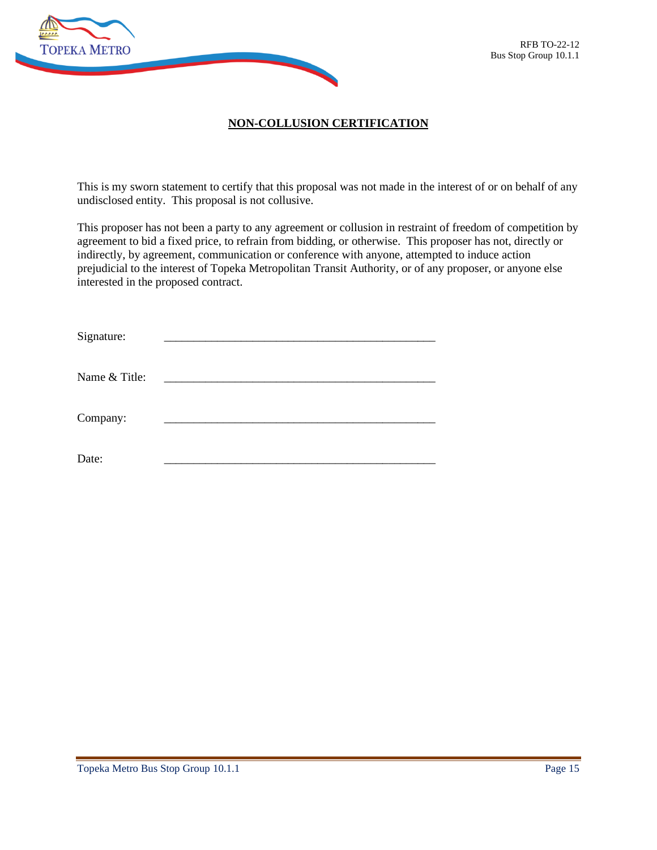

## **NON-COLLUSION CERTIFICATION**

This is my sworn statement to certify that this proposal was not made in the interest of or on behalf of any undisclosed entity. This proposal is not collusive.

This proposer has not been a party to any agreement or collusion in restraint of freedom of competition by agreement to bid a fixed price, to refrain from bidding, or otherwise. This proposer has not, directly or indirectly, by agreement, communication or conference with anyone, attempted to induce action prejudicial to the interest of Topeka Metropolitan Transit Authority, or of any proposer, or anyone else interested in the proposed contract.

| Signature:    |  |
|---------------|--|
| Name & Title: |  |
| Company:      |  |
| Date:         |  |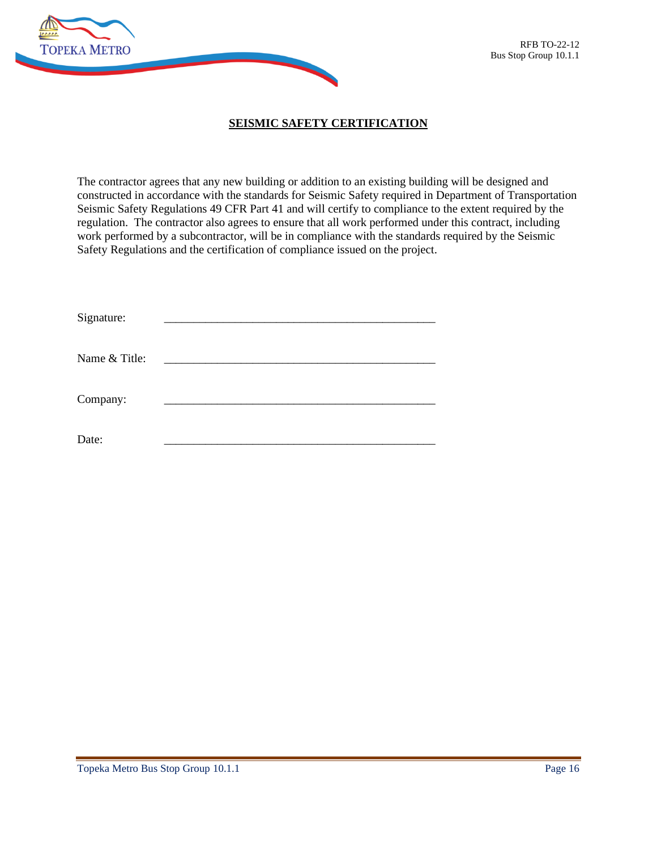

## **SEISMIC SAFETY CERTIFICATION**

The contractor agrees that any new building or addition to an existing building will be designed and constructed in accordance with the standards for Seismic Safety required in Department of Transportation Seismic Safety Regulations 49 CFR Part 41 and will certify to compliance to the extent required by the regulation. The contractor also agrees to ensure that all work performed under this contract, including work performed by a subcontractor, will be in compliance with the standards required by the Seismic Safety Regulations and the certification of compliance issued on the project.

| Signature:    |  |  |
|---------------|--|--|
| Name & Title: |  |  |
| Company:      |  |  |
| Date:         |  |  |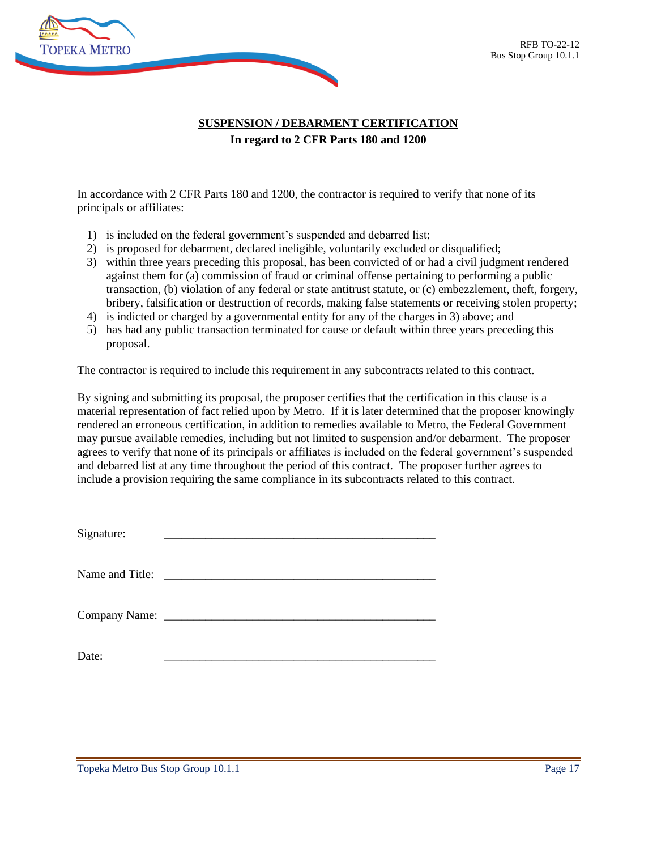# **SUSPENSION / DEBARMENT CERTIFICATION In regard to 2 CFR Parts 180 and 1200**

In accordance with 2 CFR Parts 180 and 1200, the contractor is required to verify that none of its principals or affiliates:

- 1) is included on the federal government's suspended and debarred list;
- 2) is proposed for debarment, declared ineligible, voluntarily excluded or disqualified;
- 3) within three years preceding this proposal, has been convicted of or had a civil judgment rendered against them for (a) commission of fraud or criminal offense pertaining to performing a public transaction, (b) violation of any federal or state antitrust statute, or (c) embezzlement, theft, forgery, bribery, falsification or destruction of records, making false statements or receiving stolen property;
- 4) is indicted or charged by a governmental entity for any of the charges in 3) above; and
- 5) has had any public transaction terminated for cause or default within three years preceding this proposal.

The contractor is required to include this requirement in any subcontracts related to this contract.

By signing and submitting its proposal, the proposer certifies that the certification in this clause is a material representation of fact relied upon by Metro. If it is later determined that the proposer knowingly rendered an erroneous certification, in addition to remedies available to Metro, the Federal Government may pursue available remedies, including but not limited to suspension and/or debarment. The proposer agrees to verify that none of its principals or affiliates is included on the federal government's suspended and debarred list at any time throughout the period of this contract. The proposer further agrees to include a provision requiring the same compliance in its subcontracts related to this contract.

| Signature: |  |
|------------|--|
|            |  |
|            |  |
| Date:      |  |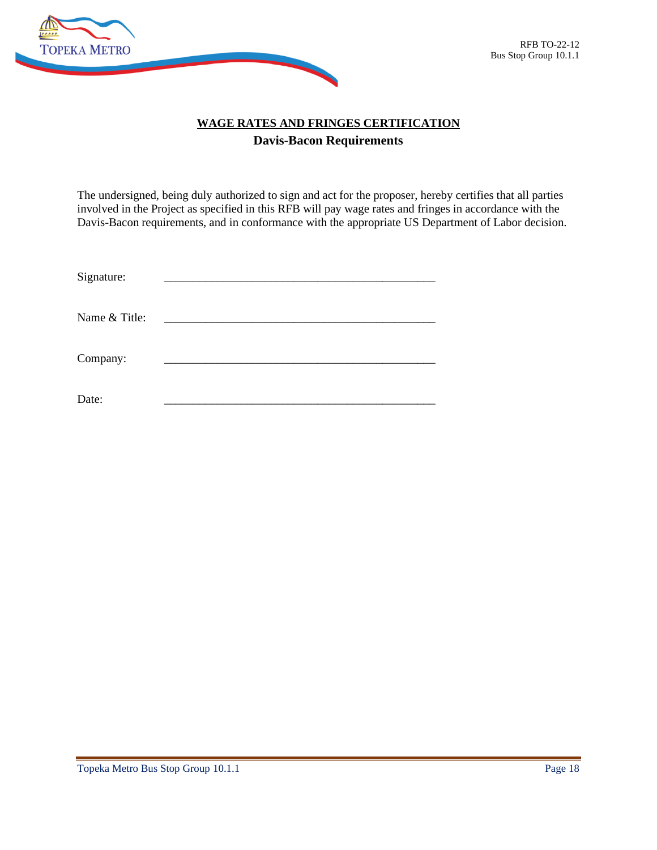

# **WAGE RATES AND FRINGES CERTIFICATION Davis-Bacon Requirements**

The undersigned, being duly authorized to sign and act for the proposer, hereby certifies that all parties involved in the Project as specified in this RFB will pay wage rates and fringes in accordance with the Davis-Bacon requirements, and in conformance with the appropriate US Department of Labor decision.

| Signature:    |  |
|---------------|--|
| Name & Title: |  |
| Company:      |  |
| Date:         |  |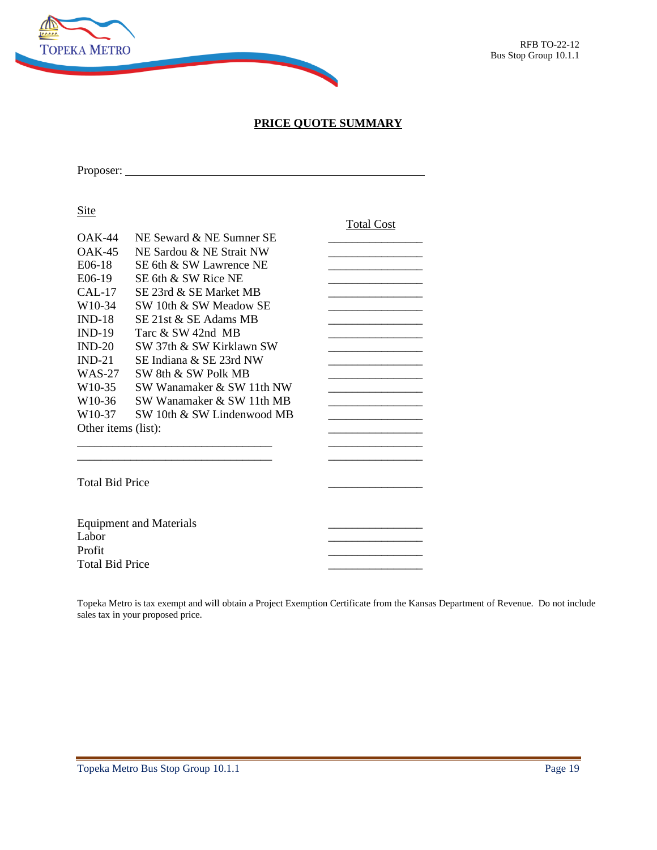

## **PRICE QUOTE SUMMARY**

Proposer:

### **Site**

|                     |                            | Total Cost |
|---------------------|----------------------------|------------|
| $OAK-44$            | NE Seward & NE Sumner SE   |            |
| $OAK-45$            | NE Sardou & NE Strait NW   |            |
| E06-18              | SE 6th & SW Lawrence NE    |            |
| E06-19              | SE 6th & SW Rice NE        |            |
| $CAL-17$            | SE 23rd & SE Market MB     |            |
| W <sub>10-34</sub>  | SW 10th & SW Meadow SE     |            |
| $IND-18$            | $SE$ 21st $\&$ SE Adams MB |            |
| $IND-19$            | Tarc $&$ SW 42nd MB        |            |
| $IND-20$            | SW 37th & SW Kirklawn SW   |            |
| $IND-21$            | SE Indiana & SE 23rd NW    |            |
| WAS-27              | SW 8th & SW Polk MB        |            |
| W <sub>10</sub> -35 | SW Wanamaker & SW 11th NW  |            |
| W <sub>10-36</sub>  | SW Wanamaker & SW 11th MB  |            |
| W <sub>10-37</sub>  | SW 10th & SW Lindenwood MB |            |
| Other items (list): |                            |            |
|                     |                            |            |
|                     |                            |            |
|                     |                            |            |

Total Bid Price \_\_\_\_\_\_\_\_\_\_\_\_\_\_\_\_

Equipment and Materials \_\_\_\_\_\_\_\_\_\_\_\_\_\_\_\_  $Labor$ Profit Total Bid Price \_\_\_\_\_\_\_\_\_\_\_\_\_\_\_\_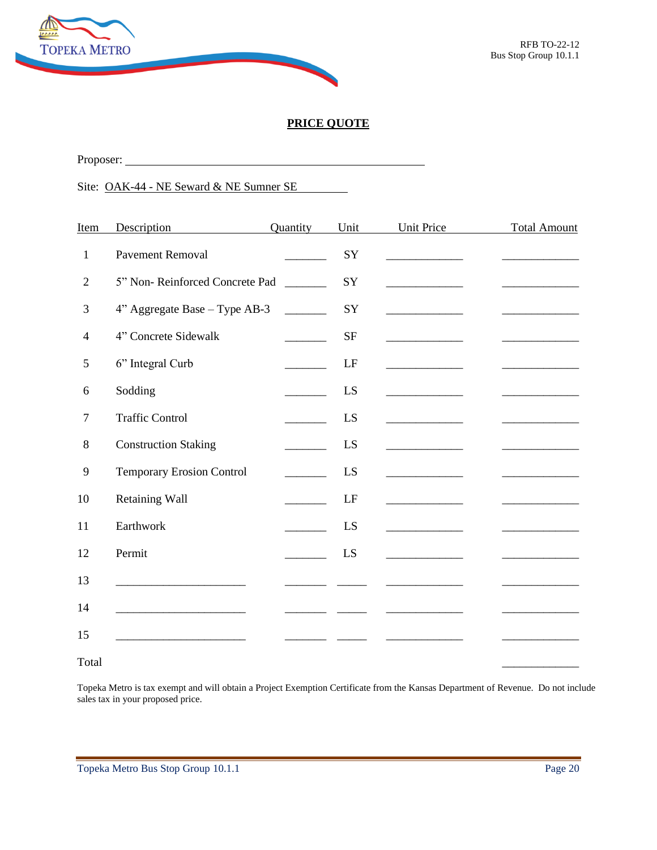

<u> 1980 - Jan James Barnett, fransk politik (d. 1980)</u>

Proposer:

Site: OAK-44 - NE Seward & NE Sumner SE

| Item           | Description                      | Quantity                                              | Unit      | <b>Unit Price</b>                               | <b>Total Amount</b> |
|----------------|----------------------------------|-------------------------------------------------------|-----------|-------------------------------------------------|---------------------|
| $\mathbf{1}$   | <b>Pavement Removal</b>          |                                                       | SY        | <u> 1989 - Johann Barnett, fransk politiker</u> |                     |
| $\overline{2}$ | 5" Non-Reinforced Concrete Pad   | $\frac{1}{2}$ , and $\frac{1}{2}$ , and $\frac{1}{2}$ | <b>SY</b> |                                                 |                     |
| 3              | $4"$ Aggregate Base - Type AB-3  |                                                       | SY        |                                                 |                     |
| $\overline{4}$ | 4" Concrete Sidewalk             |                                                       | <b>SF</b> | <u> 1990 - Johann Barbara, martin a</u>         |                     |
| 5              | 6" Integral Curb                 | $\overline{\phantom{a}}$                              | LF        |                                                 |                     |
| 6              | Sodding                          | $\frac{1}{1}$                                         | LS        |                                                 |                     |
| $\overline{7}$ | <b>Traffic Control</b>           | <u>and the state</u>                                  | LS        |                                                 |                     |
| 8              | <b>Construction Staking</b>      |                                                       | LS        | <u> 1989 - Johann Barbara, martin a</u>         |                     |
| 9              | <b>Temporary Erosion Control</b> |                                                       | LS        | <u> 1990 - Johann Barbara, martin a</u>         |                     |
| 10             | Retaining Wall                   | <u>and the state</u>                                  | LF        |                                                 |                     |
| 11             | Earthwork                        |                                                       | LS        |                                                 |                     |
| 12             | Permit                           | <u>and the state</u>                                  | LS        |                                                 |                     |
| 13             |                                  | $\overline{\phantom{a}}$                              |           |                                                 |                     |
| 14             |                                  |                                                       |           |                                                 |                     |
| 15             |                                  |                                                       |           |                                                 |                     |
| Total          |                                  |                                                       |           |                                                 |                     |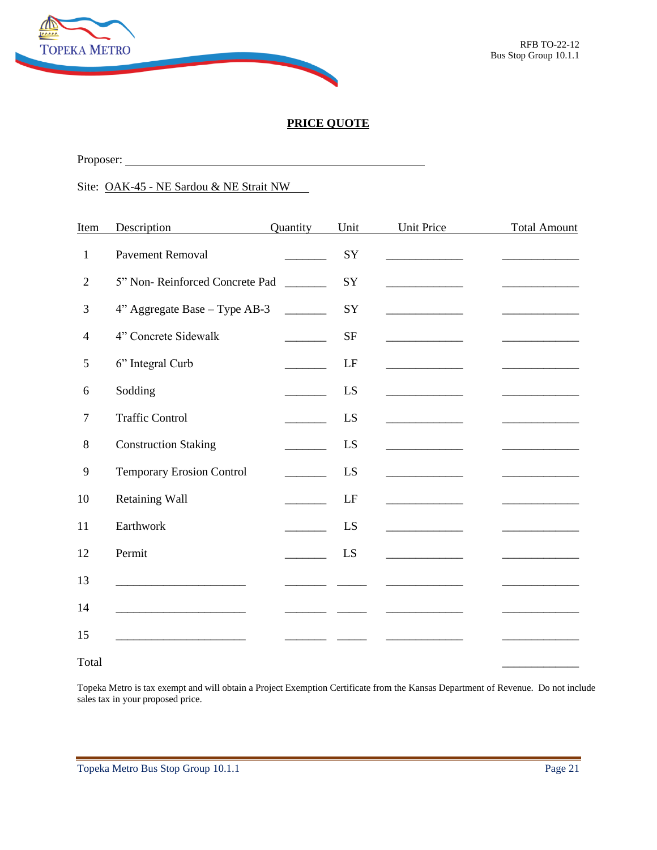

Proposer:

Site: OAK-45 - NE Sardou & NE Strait NW

| Item           | Description                                                                                                          | Quantity                                                                                                                             | Unit      | <b>Unit Price</b>                                                                                                      | <b>Total Amount</b>                     |
|----------------|----------------------------------------------------------------------------------------------------------------------|--------------------------------------------------------------------------------------------------------------------------------------|-----------|------------------------------------------------------------------------------------------------------------------------|-----------------------------------------|
| $\mathbf{1}$   | Pavement Removal                                                                                                     |                                                                                                                                      | SY        |                                                                                                                        |                                         |
| $\overline{2}$ | 5" Non-Reinforced Concrete Pad                                                                                       |                                                                                                                                      | SY        | <u> 1989 - Johann Barbara, martin e</u>                                                                                |                                         |
| 3              | 4" Aggregate Base - Type AB-3                                                                                        |                                                                                                                                      | SY        |                                                                                                                        | <u> 1980 - Johann Barbara, martin a</u> |
| $\overline{4}$ | 4" Concrete Sidewalk                                                                                                 |                                                                                                                                      | <b>SF</b> | <u> 1989 - Johann Barbara, martin a</u>                                                                                |                                         |
| $\mathfrak{S}$ | 6" Integral Curb                                                                                                     |                                                                                                                                      | LF        | ________________________                                                                                               |                                         |
| 6              | Sodding                                                                                                              | <u> Louis Colle</u>                                                                                                                  | LS        |                                                                                                                        |                                         |
| $\tau$         | <b>Traffic Control</b>                                                                                               |                                                                                                                                      | LS        |                                                                                                                        |                                         |
| 8              | <b>Construction Staking</b>                                                                                          |                                                                                                                                      | LS        |                                                                                                                        |                                         |
| 9              | <b>Temporary Erosion Control</b>                                                                                     |                                                                                                                                      | LS        | <u> 1989 - Johann Barbara, martin a</u>                                                                                |                                         |
| 10             | Retaining Wall                                                                                                       | $\begin{array}{c} \begin{array}{c} \begin{array}{c} \begin{array}{c} \end{array} \\ \end{array} \end{array} \end{array} \end{array}$ | LF        | <u> Listen de Carlos de Carlos de Carlos de Carlos de Carlos de Carlos de Carlos de Carlos de Carlos de Carlos de </u> |                                         |
| 11             | Earthwork                                                                                                            |                                                                                                                                      | LS        |                                                                                                                        |                                         |
| 12             | Permit                                                                                                               |                                                                                                                                      | LS        |                                                                                                                        |                                         |
| 13             |                                                                                                                      |                                                                                                                                      |           |                                                                                                                        |                                         |
| 14             | <u> 1989 - Johann Barbara, martin amerikan basar dan basa dan basar dalam basa dalam basa dalam basa dalam basa </u> |                                                                                                                                      |           |                                                                                                                        |                                         |
| 15             |                                                                                                                      |                                                                                                                                      |           |                                                                                                                        |                                         |
| Total          |                                                                                                                      |                                                                                                                                      |           |                                                                                                                        |                                         |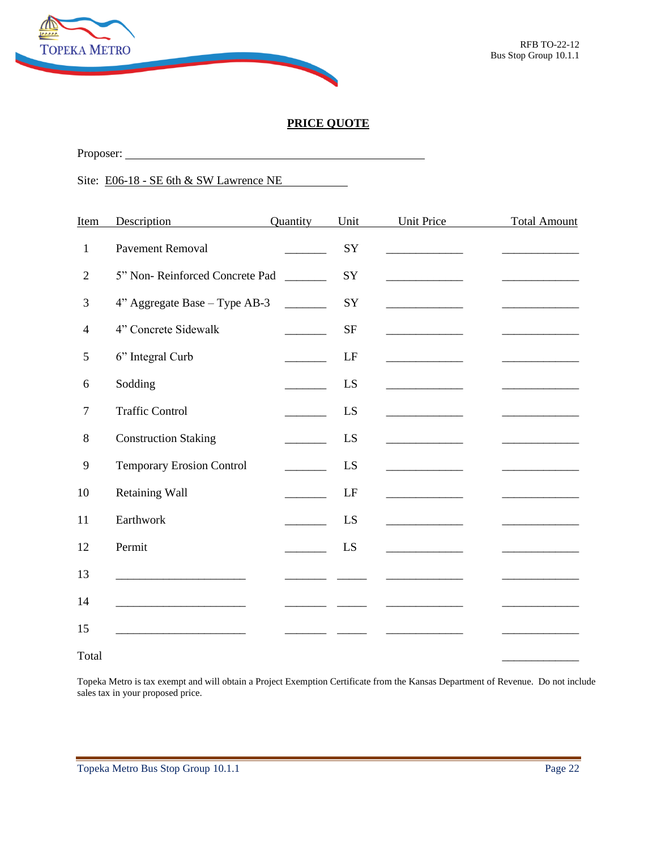

Proposer:

Site: E06-18 - SE 6th & SW Lawrence NE

| Item           | Description                                             | Quantity                          | Unit      | <b>Unit Price</b>                       | <b>Total Amount</b> |
|----------------|---------------------------------------------------------|-----------------------------------|-----------|-----------------------------------------|---------------------|
| 1              | Pavement Removal                                        |                                   | SY        | <u> 1989 - Johann Barbara, martxa a</u> |                     |
| $\overline{2}$ | 5" Non-Reinforced Concrete Pad                          |                                   | SY        | $\frac{1}{2}$                           |                     |
| 3              | 4" Aggregate Base - Type AB-3                           |                                   | SY        |                                         |                     |
| $\overline{4}$ | 4" Concrete Sidewalk                                    |                                   | <b>SF</b> | <u> 1989 - Johann Barn, mars et al.</u> |                     |
| 5              | 6" Integral Curb                                        | $\frac{1}{1}$                     | LF        |                                         |                     |
| 6              | Sodding                                                 |                                   | LS        |                                         |                     |
| $\overline{7}$ | <b>Traffic Control</b>                                  |                                   | LS        |                                         |                     |
| 8              | <b>Construction Staking</b>                             |                                   | LS        | <u> 1989 - Johann Barbara, martin a</u> |                     |
| 9              | <b>Temporary Erosion Control</b>                        |                                   | LS        | <u> 1990 - Johann Barbara, martin a</u> |                     |
| 10             | Retaining Wall                                          | $\mathcal{L} = \{ \mathcal{L} \}$ | LF        |                                         |                     |
| 11             | Earthwork                                               |                                   | LS        |                                         |                     |
| 12             | Permit                                                  |                                   | LS        |                                         |                     |
| 13             |                                                         |                                   |           |                                         |                     |
| 14             | <u> 1989 - Johann Barbara, martin amerikan basar da</u> |                                   |           |                                         |                     |
| 15             |                                                         |                                   |           |                                         |                     |
| Total          |                                                         |                                   |           |                                         |                     |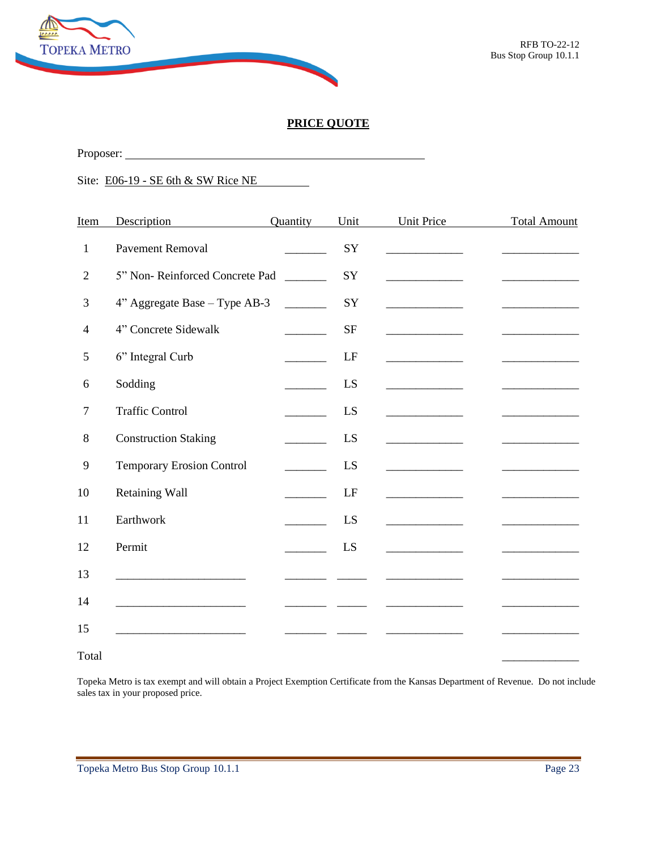

Proposer:

Site: E06-19 - SE 6th & SW Rice NE

| Item           | Description                      | Quantity                  | Unit      | <b>Unit Price</b>                                                                                                    | <b>Total Amount</b>                               |
|----------------|----------------------------------|---------------------------|-----------|----------------------------------------------------------------------------------------------------------------------|---------------------------------------------------|
| 1              | <b>Pavement Removal</b>          |                           | SY        | <u> 1989 - Johann Barbara, martxa a</u>                                                                              |                                                   |
| $\overline{2}$ | 5" Non-Reinforced Concrete Pad   |                           | SY        |                                                                                                                      |                                                   |
| 3              | 4" Aggregate Base - Type AB-3    | <u> Liberal College (</u> | SY        |                                                                                                                      | <u> 1989 - Johann Barnett, fransk politiker (</u> |
| $\overline{4}$ | 4" Concrete Sidewalk             |                           | <b>SF</b> | <u> 1990 - Johann Barbara, martin a</u>                                                                              |                                                   |
| 5              | 6" Integral Curb                 |                           | LF        | <u> 1989 - Johann Barbara, martin a</u>                                                                              |                                                   |
| 6              | Sodding                          |                           | LS        | <u> 1989 - Johann Barbara, martin e</u>                                                                              |                                                   |
| $\overline{7}$ | <b>Traffic Control</b>           |                           | LS        | <u> 1980 - Johann Barn, mars ar breithinn ar breithinn ar breithinn ar breithinn ar breithinn ar breithinn ar br</u> |                                                   |
| 8              | <b>Construction Staking</b>      |                           | LS        |                                                                                                                      |                                                   |
| 9              | <b>Temporary Erosion Control</b> | <u>and the state</u>      | LS        |                                                                                                                      |                                                   |
| 10             | <b>Retaining Wall</b>            | $\overline{\phantom{a}}$  | LF        |                                                                                                                      |                                                   |
| 11             | Earthwork                        |                           | LS        |                                                                                                                      |                                                   |
| 12             | Permit                           |                           | LS        | <u> 1989 - Jan Alexandro III, politik pozitivni predstavanja pod predstavanja po</u>                                 |                                                   |
| 13             |                                  |                           |           |                                                                                                                      |                                                   |
| 14             |                                  |                           |           |                                                                                                                      |                                                   |
| 15             |                                  |                           |           |                                                                                                                      |                                                   |
| Total          |                                  |                           |           |                                                                                                                      |                                                   |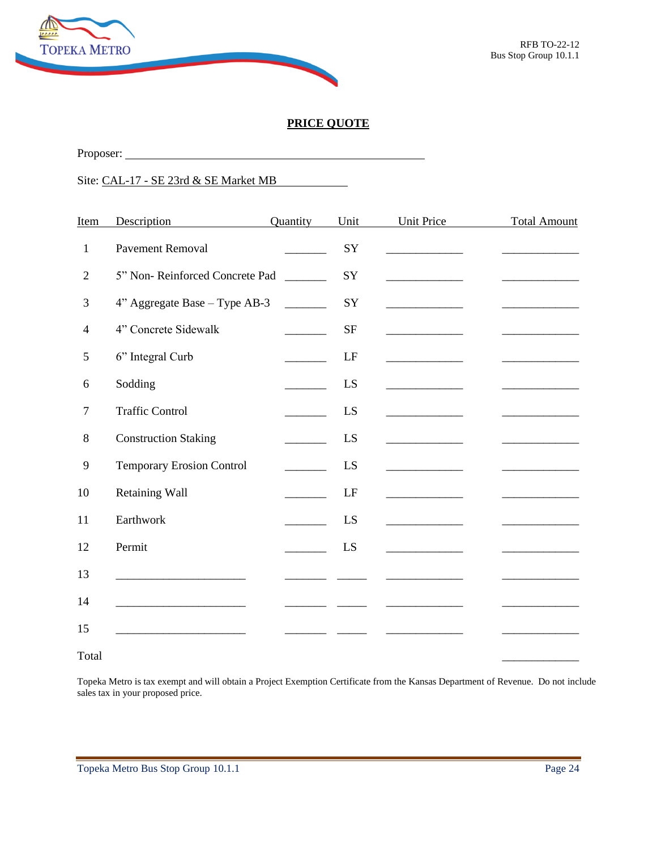

Proposer:

Site: CAL-17 - SE 23rd & SE Market MB

| Item           | Description                      | Quantity                 | Unit      | <b>Unit Price</b>                                                                                                                                                                                                                    | <b>Total Amount</b>                               |
|----------------|----------------------------------|--------------------------|-----------|--------------------------------------------------------------------------------------------------------------------------------------------------------------------------------------------------------------------------------------|---------------------------------------------------|
| 1              | Pavement Removal                 |                          | SY        | the control of the control of the                                                                                                                                                                                                    |                                                   |
| $\overline{2}$ | 5" Non-Reinforced Concrete Pad   |                          | SY        |                                                                                                                                                                                                                                      | the control of the control of the control of      |
| 3              | 4" Aggregate Base - Type AB-3    |                          | SY        |                                                                                                                                                                                                                                      | <u> 1989 - Johann Barnett, fransk politiker (</u> |
| 4              | 4" Concrete Sidewalk             |                          | <b>SF</b> | the control of the control of the control of                                                                                                                                                                                         |                                                   |
| 5              | 6" Integral Curb                 |                          | LF        | <u> 1990 - Johann Barbara, martin a</u>                                                                                                                                                                                              |                                                   |
| 6              | Sodding                          |                          | LS        |                                                                                                                                                                                                                                      |                                                   |
| $\overline{7}$ | <b>Traffic Control</b>           |                          | LS        |                                                                                                                                                                                                                                      |                                                   |
| 8              | <b>Construction Staking</b>      |                          | LS        | <u> 1980 - Jan Stein Stein Stein Stein Stein Stein Stein Stein Stein Stein Stein Stein Stein Stein Stein Stein Stein Stein Stein Stein Stein Stein Stein Stein Stein Stein Stein Stein Stein Stein Stein Stein Stein Stein Stein</u> |                                                   |
| 9              | <b>Temporary Erosion Control</b> | <u>and the state</u>     | LS        |                                                                                                                                                                                                                                      |                                                   |
| 10             | Retaining Wall                   | $\overline{\phantom{a}}$ | LF        |                                                                                                                                                                                                                                      |                                                   |
| 11             | Earthwork                        |                          | LS        |                                                                                                                                                                                                                                      |                                                   |
| 12             | Permit                           |                          | LS        | <u> 1989 - Jan Alexandro III, politik pozitivni predstavanja pozitivni predstavanja pozitivni predstavanja pozitiv</u>                                                                                                               |                                                   |
| 13             |                                  |                          |           |                                                                                                                                                                                                                                      |                                                   |
| 14             |                                  |                          |           |                                                                                                                                                                                                                                      |                                                   |
| 15             |                                  |                          |           |                                                                                                                                                                                                                                      |                                                   |
| Total          |                                  |                          |           |                                                                                                                                                                                                                                      |                                                   |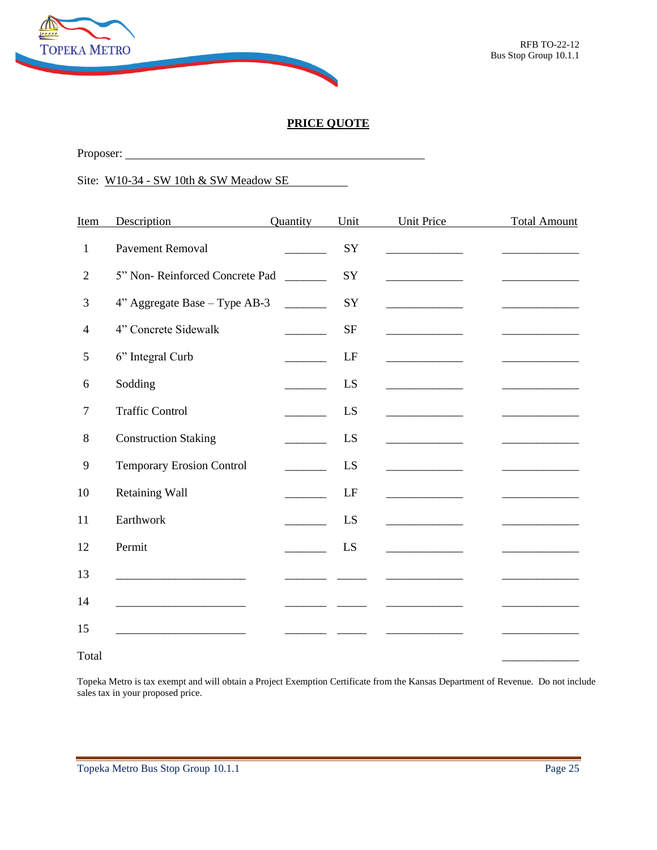

Proposer:

# Site: W10-34 - SW 10th & SW Meadow SE

| Item           | Description                      | Quantity                  | Unit      | <b>Unit Price</b>                                                                    | <b>Total Amount</b>                               |
|----------------|----------------------------------|---------------------------|-----------|--------------------------------------------------------------------------------------|---------------------------------------------------|
| 1              | <b>Pavement Removal</b>          |                           | SY        | <u> 1989 - Johann Barbara, martxa a</u>                                              |                                                   |
| $\overline{2}$ | 5" Non-Reinforced Concrete Pad   |                           | SY        |                                                                                      |                                                   |
| 3              | 4" Aggregate Base - Type AB-3    | <u> Liberal College (</u> | SY        |                                                                                      | <u> 1989 - Johann Barnett, fransk politiker (</u> |
| $\overline{4}$ | 4" Concrete Sidewalk             |                           | <b>SF</b> | <u> 1990 - Johann Barbara, martin a</u>                                              |                                                   |
| 5              | 6" Integral Curb                 |                           | LF        | <u> 1989 - Johann Barbara, martin a</u>                                              |                                                   |
| 6              | Sodding                          |                           | LS        | <u> 1989 - Johann Barbara, martin e</u>                                              |                                                   |
| $\overline{7}$ | <b>Traffic Control</b>           |                           | LS        |                                                                                      |                                                   |
| 8              | <b>Construction Staking</b>      |                           | LS        |                                                                                      |                                                   |
| 9              | <b>Temporary Erosion Control</b> | <u>and the state</u>      | LS        |                                                                                      |                                                   |
| 10             | <b>Retaining Wall</b>            | $\overline{\phantom{a}}$  | LF        |                                                                                      |                                                   |
| 11             | Earthwork                        |                           | LS        |                                                                                      |                                                   |
| 12             | Permit                           |                           | LS        | <u> 1989 - Jan Alexandro III, politik pozitivni predstavanja pod predstavanja po</u> |                                                   |
| 13             |                                  |                           |           |                                                                                      |                                                   |
| 14             |                                  |                           |           |                                                                                      |                                                   |
| 15             |                                  |                           |           |                                                                                      |                                                   |
| Total          |                                  |                           |           |                                                                                      |                                                   |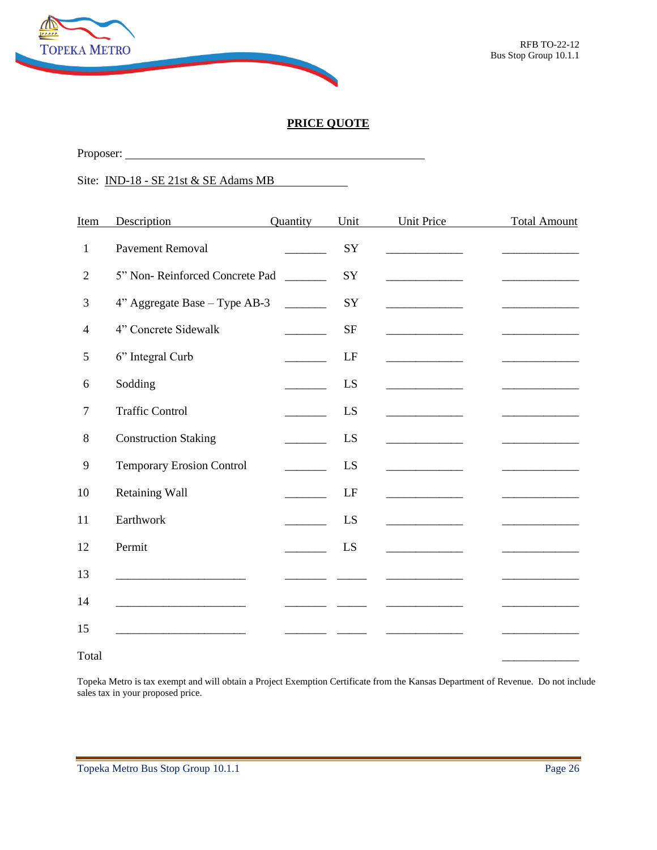

Proposer:

Site: IND-18 - SE 21st & SE Adams MB

| Item           | Description                      | Quantity                                          | Unit      | <b>Unit Price</b>                                                                                                                                                                                                                    | <b>Total Amount</b>                          |
|----------------|----------------------------------|---------------------------------------------------|-----------|--------------------------------------------------------------------------------------------------------------------------------------------------------------------------------------------------------------------------------------|----------------------------------------------|
| 1              | <b>Pavement Removal</b>          |                                                   | SY        | <u> 1989 - Johann Barbara, martin a</u>                                                                                                                                                                                              |                                              |
| $\overline{2}$ | 5" Non-Reinforced Concrete Pad   |                                                   | SY        |                                                                                                                                                                                                                                      |                                              |
| 3              | 4" Aggregate Base - Type AB-3    |                                                   | SY        |                                                                                                                                                                                                                                      | the control of the control of the control of |
| 4              | 4" Concrete Sidewalk             |                                                   | <b>SF</b> | <u> 1989 - Johann Barbara, martin a</u>                                                                                                                                                                                              |                                              |
| 5              | 6" Integral Curb                 |                                                   | LF        | <u> 1990 - Johann Barbara, martin a</u>                                                                                                                                                                                              |                                              |
| 6              | Sodding                          | $\frac{1}{2}$ and $\frac{1}{2}$ and $\frac{1}{2}$ | LS        | <u> 1989 - Johann Barbara, martin a</u>                                                                                                                                                                                              |                                              |
| $\overline{7}$ | <b>Traffic Control</b>           |                                                   | LS        |                                                                                                                                                                                                                                      |                                              |
| 8              | <b>Construction Staking</b>      |                                                   | LS        | <u> 1989 - Jan Alexandria de Alexandro de Alexandro de Alexandro de Alexandro de Alexandro de Alexandro de Alexandro de Alexandro de Alexandro de Alexandro de Alexandro de Alexandro de Alexandro de Alexandro de Alexandro de </u> |                                              |
| 9              | <b>Temporary Erosion Control</b> |                                                   | LS        |                                                                                                                                                                                                                                      |                                              |
| 10             | Retaining Wall                   | $\overline{\phantom{a}}$                          | LF        |                                                                                                                                                                                                                                      |                                              |
| 11             | Earthwork                        |                                                   | LS        |                                                                                                                                                                                                                                      |                                              |
| 12             | Permit                           |                                                   | LS        | <u> 1989 - Jan Alexandro III, politik pozitivni predstavanja pod predstavanja po</u>                                                                                                                                                 |                                              |
| 13             |                                  | $\overline{\phantom{a}}$                          |           |                                                                                                                                                                                                                                      |                                              |
| 14             |                                  |                                                   |           |                                                                                                                                                                                                                                      |                                              |
| 15             |                                  |                                                   |           |                                                                                                                                                                                                                                      |                                              |
| Total          |                                  |                                                   |           |                                                                                                                                                                                                                                      |                                              |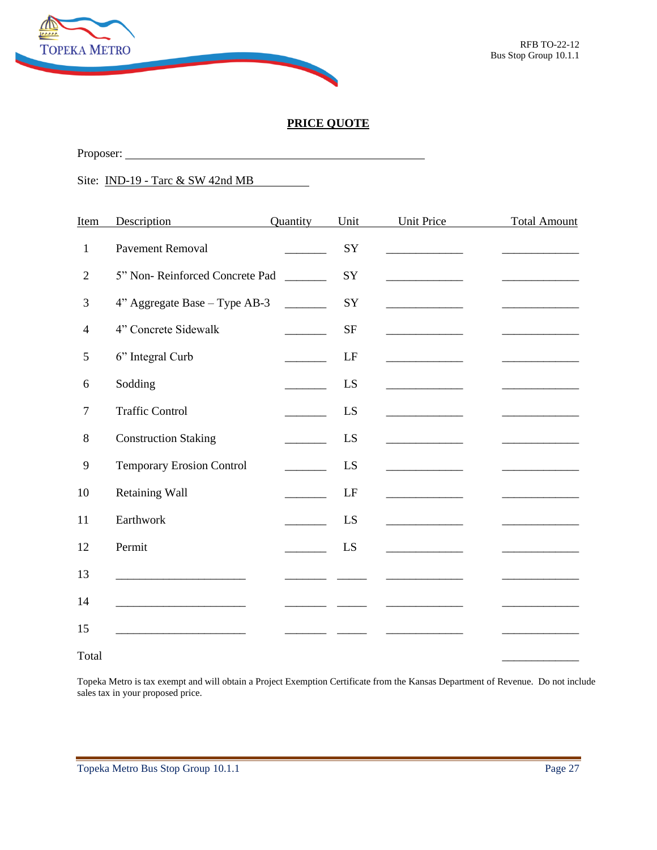

Proposer:

Site: IND-19 - Tarc & SW 42nd MB

| Item           | Description                      | Quantity                                                                                                                                                                                                                                                                                                                                                                                                                                                                              | Unit      | <b>Unit Price</b>                          | <b>Total Amount</b>                                                                       |
|----------------|----------------------------------|---------------------------------------------------------------------------------------------------------------------------------------------------------------------------------------------------------------------------------------------------------------------------------------------------------------------------------------------------------------------------------------------------------------------------------------------------------------------------------------|-----------|--------------------------------------------|-------------------------------------------------------------------------------------------|
| 1              | <b>Pavement Removal</b>          |                                                                                                                                                                                                                                                                                                                                                                                                                                                                                       | SY        | ______________________                     |                                                                                           |
| $\overline{2}$ | 5" Non-Reinforced Concrete Pad   |                                                                                                                                                                                                                                                                                                                                                                                                                                                                                       | SY        | <u> 1989 - Johann Barbara, martin a</u>    | the control of the control of the control of the control of the control of the control of |
| 3              | 4" Aggregate Base - Type AB-3    |                                                                                                                                                                                                                                                                                                                                                                                                                                                                                       | SY        |                                            |                                                                                           |
| $\overline{4}$ | 4" Concrete Sidewalk             |                                                                                                                                                                                                                                                                                                                                                                                                                                                                                       | <b>SF</b> |                                            |                                                                                           |
| 5              | 6" Integral Curb                 | $\overline{\phantom{a}}$                                                                                                                                                                                                                                                                                                                                                                                                                                                              | LF        |                                            |                                                                                           |
| 6              | Sodding                          | $\begin{array}{ccccccccc} \multicolumn{2}{c}{} & \multicolumn{2}{c}{} & \multicolumn{2}{c}{} & \multicolumn{2}{c}{} & \multicolumn{2}{c}{} & \multicolumn{2}{c}{} & \multicolumn{2}{c}{} & \multicolumn{2}{c}{} & \multicolumn{2}{c}{} & \multicolumn{2}{c}{} & \multicolumn{2}{c}{} & \multicolumn{2}{c}{} & \multicolumn{2}{c}{} & \multicolumn{2}{c}{} & \multicolumn{2}{c}{} & \multicolumn{2}{c}{} & \multicolumn{2}{c}{} & \multicolumn{2}{c}{} & \multicolumn{2}{c}{} & \mult$ | LS        |                                            | <u> 1990 - Johann Barbara, martin a</u>                                                   |
| $\overline{7}$ | <b>Traffic Control</b>           |                                                                                                                                                                                                                                                                                                                                                                                                                                                                                       | LS        | <u> 1989 - Johann Barbara, martin a</u>    |                                                                                           |
| 8              | <b>Construction Staking</b>      |                                                                                                                                                                                                                                                                                                                                                                                                                                                                                       | LS        |                                            |                                                                                           |
| 9              | <b>Temporary Erosion Control</b> |                                                                                                                                                                                                                                                                                                                                                                                                                                                                                       | LS        | <u> 1990 - Johann Barbara, martin a</u>    |                                                                                           |
| 10             | Retaining Wall                   |                                                                                                                                                                                                                                                                                                                                                                                                                                                                                       | LF        |                                            |                                                                                           |
| 11             | Earthwork                        |                                                                                                                                                                                                                                                                                                                                                                                                                                                                                       | LS        |                                            |                                                                                           |
| 12             | Permit                           |                                                                                                                                                                                                                                                                                                                                                                                                                                                                                       | LS        | <u> 1989 - John Stone, Amerikaansk kon</u> |                                                                                           |
| 13             |                                  |                                                                                                                                                                                                                                                                                                                                                                                                                                                                                       |           |                                            |                                                                                           |
| 14             |                                  |                                                                                                                                                                                                                                                                                                                                                                                                                                                                                       |           |                                            |                                                                                           |
| 15             |                                  |                                                                                                                                                                                                                                                                                                                                                                                                                                                                                       |           |                                            |                                                                                           |
| Total          |                                  |                                                                                                                                                                                                                                                                                                                                                                                                                                                                                       |           |                                            |                                                                                           |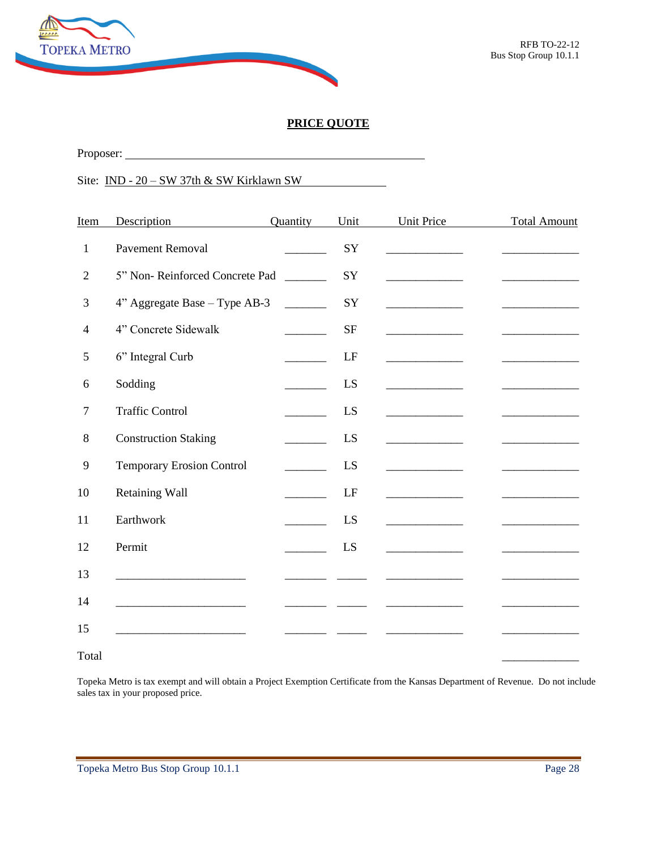

Proposer:

# Site: IND - 20 – SW 37th & SW Kirklawn SW

| Item           | Description                      | Quantity                                                                                                                                                                                                                                               | Unit      | Unit Price                                                                                                            | <b>Total Amount</b> |
|----------------|----------------------------------|--------------------------------------------------------------------------------------------------------------------------------------------------------------------------------------------------------------------------------------------------------|-----------|-----------------------------------------------------------------------------------------------------------------------|---------------------|
| 1              | Pavement Removal                 |                                                                                                                                                                                                                                                        | SY        | <u> 1989 - Johann Barbara, martin a</u>                                                                               |                     |
| $\overline{2}$ | 5" Non-Reinforced Concrete Pad   |                                                                                                                                                                                                                                                        | SY        |                                                                                                                       |                     |
| 3              | 4" Aggregate Base - Type AB-3    | $\begin{array}{c} \begin{array}{c} \begin{array}{c} \begin{array}{c} \end{array} \\ \end{array} \end{array} \end{array} \end{array} \end{array} \end{array} \begin{array}{c} \begin{array}{c} \begin{array}{c} \end{array} \\ \end{array} \end{array}$ | SY        |                                                                                                                       |                     |
| $\overline{4}$ | 4" Concrete Sidewalk             |                                                                                                                                                                                                                                                        | <b>SF</b> | <u> 1990 - John Harry Harry Harry Harry Harry Harry Harry Harry Harry Harry Harry Harry Harry Harry Harry Harry H</u> |                     |
| 5              | 6" Integral Curb                 | $\frac{1}{1}$                                                                                                                                                                                                                                          | LF        |                                                                                                                       |                     |
| 6              | Sodding                          | $\frac{1}{1}$                                                                                                                                                                                                                                          | LS        |                                                                                                                       |                     |
| $\overline{7}$ | <b>Traffic Control</b>           | <u>and the state</u>                                                                                                                                                                                                                                   | LS        |                                                                                                                       |                     |
| 8              | <b>Construction Staking</b>      |                                                                                                                                                                                                                                                        | LS        | <u> 1990 - Johann Barbara, martin a</u>                                                                               |                     |
| 9              | <b>Temporary Erosion Control</b> |                                                                                                                                                                                                                                                        | LS        | <u> 1990 - Johann Barbara, martin a</u>                                                                               |                     |
| 10             | Retaining Wall                   | <u>and the state</u>                                                                                                                                                                                                                                   | LF        |                                                                                                                       |                     |
| 11             | Earthwork                        |                                                                                                                                                                                                                                                        | LS        |                                                                                                                       |                     |
| 12             | Permit                           |                                                                                                                                                                                                                                                        | LS        | <u> 1989 - Johann Barbara, martin a</u>                                                                               |                     |
| 13             |                                  |                                                                                                                                                                                                                                                        |           |                                                                                                                       |                     |
| 14             |                                  |                                                                                                                                                                                                                                                        |           |                                                                                                                       |                     |
| 15             |                                  |                                                                                                                                                                                                                                                        |           |                                                                                                                       |                     |
| Total          |                                  |                                                                                                                                                                                                                                                        |           |                                                                                                                       |                     |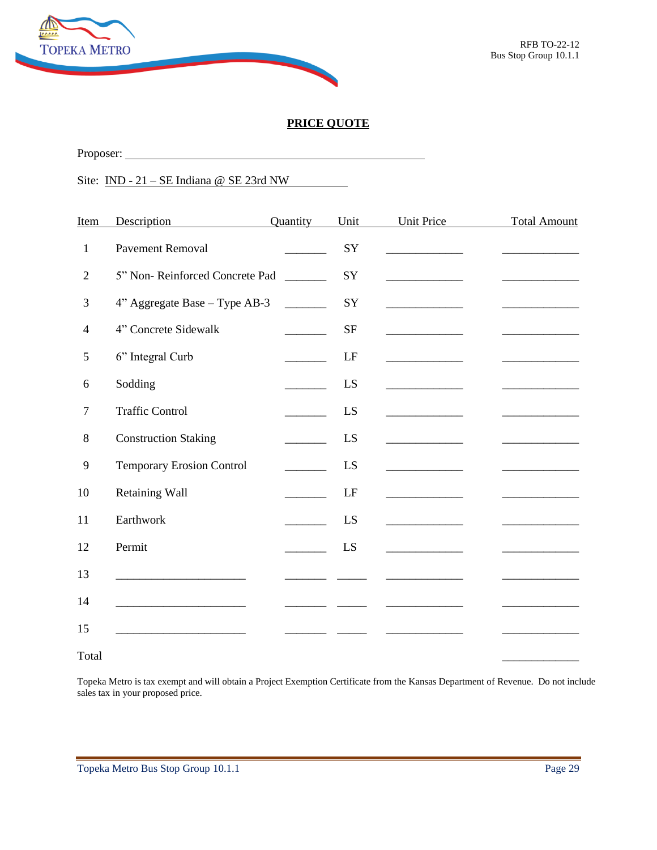

Proposer:

Site: IND - 21 – SE Indiana @ SE 23rd NW

| Item           | Description                      | Quantity             | Unit      | Unit Price                                                                                                                                                                                                                                                                                                                    | <b>Total Amount</b>                     |
|----------------|----------------------------------|----------------------|-----------|-------------------------------------------------------------------------------------------------------------------------------------------------------------------------------------------------------------------------------------------------------------------------------------------------------------------------------|-----------------------------------------|
| 1              | Pavement Removal                 |                      | SY        | <u> The Communication of the Communication of the Communication of the Communication of the Communication of the Co</u>                                                                                                                                                                                                       |                                         |
| $\overline{2}$ | 5" Non-Reinforced Concrete Pad   |                      | SY        | <u> 1989 - Johann Barbara, martin a</u>                                                                                                                                                                                                                                                                                       |                                         |
| 3              | 4" Aggregate Base - Type AB-3    |                      | SY        | $\overline{a}$ . The contract of $\overline{a}$ and $\overline{a}$ and $\overline{a}$ and $\overline{a}$ and $\overline{a}$ and $\overline{a}$ and $\overline{a}$ and $\overline{a}$ and $\overline{a}$ and $\overline{a}$ and $\overline{a}$ and $\overline{a}$ and $\overline{a}$ and $\overline{a}$ and $\overline{a}$ and |                                         |
| $\overline{4}$ | 4" Concrete Sidewalk             |                      | <b>SF</b> | <u> 1989 - Johann Barbara, martin a</u>                                                                                                                                                                                                                                                                                       |                                         |
| 5              | 6" Integral Curb                 |                      | LF        |                                                                                                                                                                                                                                                                                                                               |                                         |
| 6              | Sodding                          | <u> Liberatura e</u> | LS        |                                                                                                                                                                                                                                                                                                                               |                                         |
| $\overline{7}$ | <b>Traffic Control</b>           |                      | LS        | <u> 1990 - Johann Barbara, martin a</u>                                                                                                                                                                                                                                                                                       |                                         |
| 8              | <b>Construction Staking</b>      |                      | LS        |                                                                                                                                                                                                                                                                                                                               |                                         |
| 9              | <b>Temporary Erosion Control</b> |                      | LS        |                                                                                                                                                                                                                                                                                                                               |                                         |
| 10             | Retaining Wall                   | <u>and the state</u> | LF        | <u> 1990 - Johann Barbara, martin a</u>                                                                                                                                                                                                                                                                                       | <u> 1989 - Johann Barbara, martin a</u> |
| 11             | Earthwork                        |                      | LS        | $\overline{\phantom{a}}$ . The contract of $\overline{\phantom{a}}$                                                                                                                                                                                                                                                           |                                         |
| 12             | Permit                           |                      | LS        |                                                                                                                                                                                                                                                                                                                               |                                         |
| 13             |                                  |                      |           |                                                                                                                                                                                                                                                                                                                               |                                         |
| 14             |                                  |                      |           |                                                                                                                                                                                                                                                                                                                               |                                         |
| 15             |                                  |                      |           |                                                                                                                                                                                                                                                                                                                               |                                         |
| Total          |                                  |                      |           |                                                                                                                                                                                                                                                                                                                               |                                         |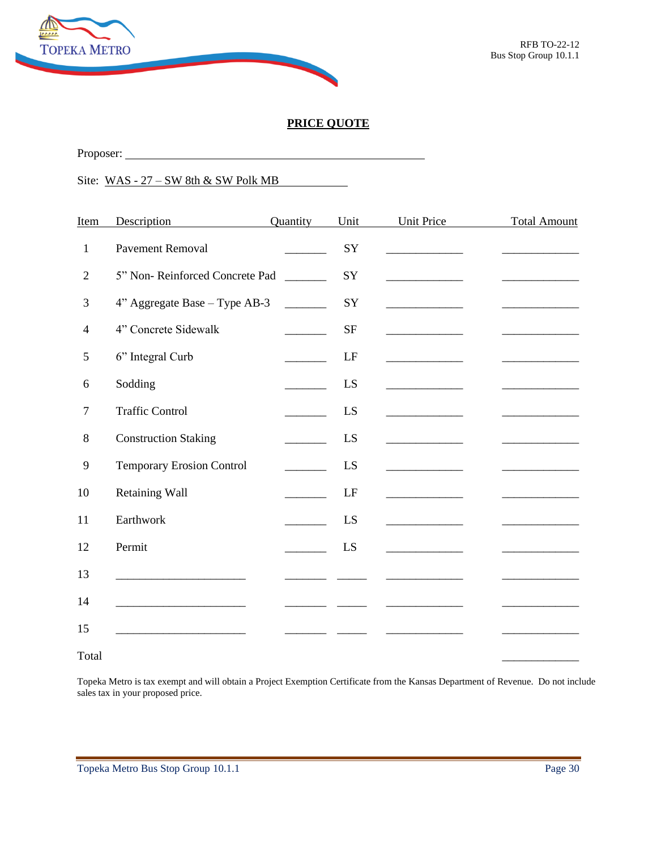

Proposer:

Site: WAS - 27 – SW 8th & SW Polk MB

| Item           | Description                      | Quantity                  | Unit      | <b>Unit Price</b>                                                                    | <b>Total Amount</b>                     |
|----------------|----------------------------------|---------------------------|-----------|--------------------------------------------------------------------------------------|-----------------------------------------|
| 1              | <b>Pavement Removal</b>          |                           | SY        | <u> 1989 - Johann Barbara, martxa a</u>                                              |                                         |
| $\overline{2}$ | 5" Non-Reinforced Concrete Pad   |                           | SY        |                                                                                      |                                         |
| 3              | 4" Aggregate Base - Type AB-3    | <u> Liberal College (</u> | SY        |                                                                                      | <u> 1989 - Johann Barbara, martxa a</u> |
| $\overline{4}$ | 4" Concrete Sidewalk             |                           | <b>SF</b> | <u> 1990 - Johann Barbara, martin a</u>                                              |                                         |
| 5              | 6" Integral Curb                 |                           | LF        | <u> 1989 - Johann Barbara, martin a</u>                                              |                                         |
| 6              | Sodding                          |                           | LS        | <u> 1989 - Johann Barbara, martin e</u>                                              |                                         |
| $\overline{7}$ | <b>Traffic Control</b>           |                           | LS        |                                                                                      |                                         |
| 8              | <b>Construction Staking</b>      |                           | LS        |                                                                                      |                                         |
| 9              | <b>Temporary Erosion Control</b> | <u>and the state</u>      | LS        |                                                                                      |                                         |
| 10             | <b>Retaining Wall</b>            | $\overline{\phantom{a}}$  | LF        |                                                                                      |                                         |
| 11             | Earthwork                        |                           | LS        |                                                                                      |                                         |
| 12             | Permit                           |                           | LS        | <u> 1989 - Jan Alexandro III, politik pozitivni predstavanja pod predstavanja po</u> |                                         |
| 13             |                                  |                           |           |                                                                                      |                                         |
| 14             |                                  |                           |           |                                                                                      |                                         |
| 15             |                                  |                           |           |                                                                                      |                                         |
| Total          |                                  |                           |           |                                                                                      |                                         |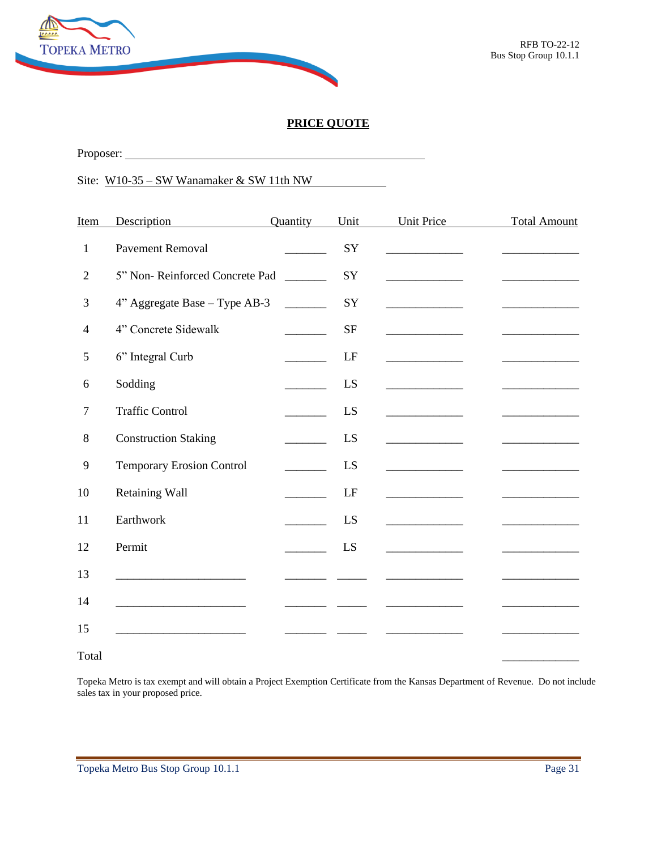

Proposer:

Site: W10-35 – SW Wanamaker & SW 11th NW

| Item           | Description                      | Quantity             | Unit      | <b>Unit Price</b>                       | <b>Total Amount</b> |
|----------------|----------------------------------|----------------------|-----------|-----------------------------------------|---------------------|
| $\mathbf{1}$   | Pavement Removal                 |                      | SY        | and the control of the control of the   |                     |
| $\overline{2}$ | 5" Non-Reinforced Concrete Pad   |                      | <b>SY</b> |                                         |                     |
| 3              | 4" Aggregate Base - Type AB-3    |                      | SY        |                                         |                     |
| $\overline{4}$ | 4" Concrete Sidewalk             |                      | <b>SF</b> | <u> 1989 - Johann Barbara, martin a</u> |                     |
| 5              | 6" Integral Curb                 |                      | LF        |                                         |                     |
| 6              | Sodding                          | $\frac{1}{1}$        | LS        |                                         |                     |
| $\tau$         | <b>Traffic Control</b>           |                      | LS        |                                         |                     |
| 8              | <b>Construction Staking</b>      |                      | LS        | <u> 1980 - Johann Barbara, martin a</u> |                     |
| 9              | <b>Temporary Erosion Control</b> |                      | LS        | <u> 1990 - Johann Barbara, martin a</u> |                     |
| 10             | Retaining Wall                   | <u>and the state</u> | LF        |                                         |                     |
| 11             | Earthwork                        |                      | LS        |                                         |                     |
| 12             | Permit                           |                      | LS        | <u> 1980 - Johann Barbara, martxa a</u> |                     |
| 13             |                                  |                      |           |                                         |                     |
| 14             |                                  |                      |           |                                         |                     |
| 15             |                                  |                      |           |                                         |                     |
| Total          |                                  |                      |           |                                         |                     |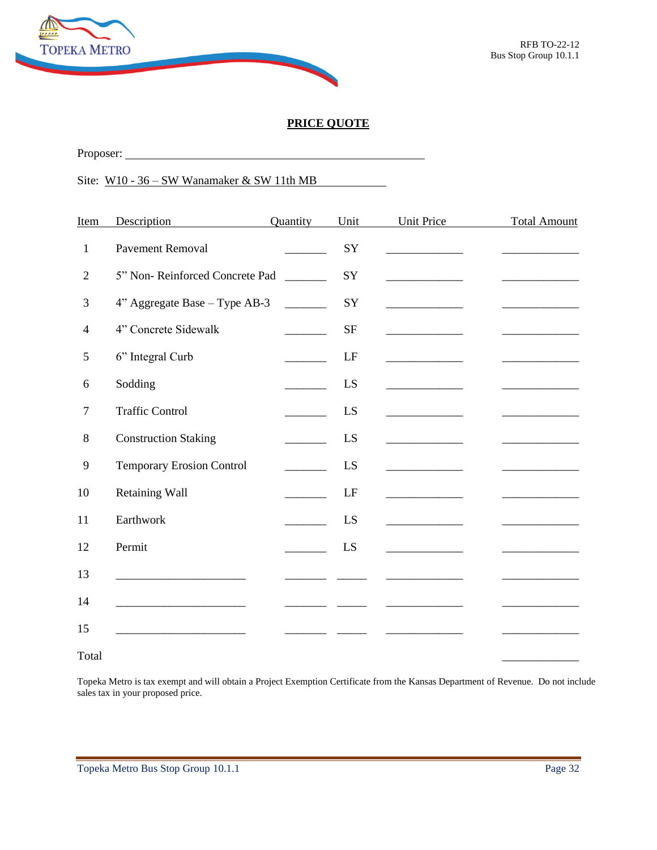

Proposer:

# Site: W10 - 36 – SW Wanamaker & SW 11th MB

| Item           | Description                                                                                                          | Quantity                          | Unit      | <b>Unit Price</b>                       | <b>Total Amount</b> |
|----------------|----------------------------------------------------------------------------------------------------------------------|-----------------------------------|-----------|-----------------------------------------|---------------------|
| 1              | Pavement Removal                                                                                                     |                                   | SY        | <u> 1989 - Johann Barbara, martxa a</u> |                     |
| $\overline{2}$ | 5" Non-Reinforced Concrete Pad                                                                                       |                                   | SY        | $\frac{1}{2}$                           |                     |
| 3              | 4" Aggregate Base - Type AB-3                                                                                        |                                   | SY        |                                         |                     |
| $\overline{4}$ | 4" Concrete Sidewalk                                                                                                 |                                   | <b>SF</b> | <u> 1989 - Johann Barn, mars et al.</u> |                     |
| 5              | 6" Integral Curb                                                                                                     | $\frac{1}{1}$                     | LF        |                                         |                     |
| 6              | Sodding                                                                                                              |                                   | LS        |                                         |                     |
| $\overline{7}$ | <b>Traffic Control</b>                                                                                               |                                   | LS        |                                         |                     |
| 8              | <b>Construction Staking</b>                                                                                          |                                   | LS        | <u> 1989 - Johann Barbara, martin a</u> |                     |
| 9              | <b>Temporary Erosion Control</b>                                                                                     |                                   | LS        | <u> 1990 - Johann Barbara, martin a</u> |                     |
| 10             | Retaining Wall                                                                                                       | $\mathcal{L} = \{ \mathcal{L} \}$ | LF        |                                         |                     |
| 11             | Earthwork                                                                                                            |                                   | LS        |                                         |                     |
| 12             | Permit                                                                                                               |                                   | LS        |                                         |                     |
| 13             |                                                                                                                      |                                   |           |                                         |                     |
| 14             | <u> 1989 - Johann Barbara, martin amerikan basar dan basa dan basar dalam basa dalam basa dalam basa dalam basa </u> |                                   |           |                                         |                     |
| 15             |                                                                                                                      |                                   |           |                                         |                     |
| Total          |                                                                                                                      |                                   |           |                                         |                     |